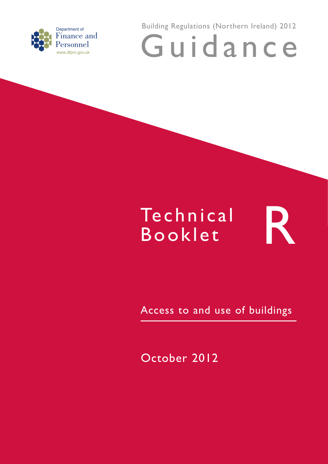

Building Regulations (Northern Ireland) 2012 Guidance

# **Te chnical** Technical R<br>Booklet

Access to and use of buildings

October 2012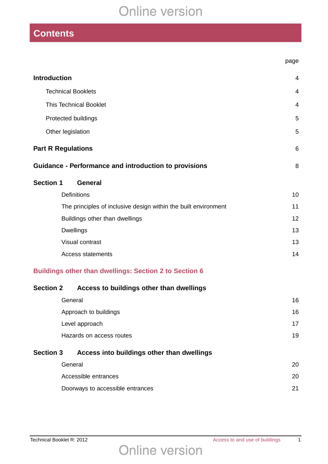# **Contents**

| <b>Introduction</b>                                             | $\overline{4}$ |
|-----------------------------------------------------------------|----------------|
| <b>Technical Booklets</b>                                       | $\overline{4}$ |
| <b>This Technical Booklet</b>                                   | $\overline{4}$ |
| Protected buildings                                             | 5              |
| Other legislation                                               | 5              |
| <b>Part R Regulations</b>                                       | 6              |
| <b>Guidance - Performance and introduction to provisions</b>    | 8              |
| <b>Section 1</b><br><b>General</b>                              |                |
| <b>Definitions</b>                                              | 10             |
| The principles of inclusive design within the built environment | 11             |
| Buildings other than dwellings                                  | 12             |
| <b>Dwellings</b>                                                | 13             |
| Visual contrast                                                 | 13             |
| <b>Access statements</b>                                        | 14             |
| <b>Buildings other than dwellings: Section 2 to Section 6</b>   |                |
| <b>Section 2</b><br>Access to buildings other than dwellings    |                |
| General                                                         | 16             |
| Approach to buildings                                           | 16             |
| Level approach                                                  | 17             |
| Hazards on access routes                                        | 19             |
| <b>Section 3</b><br>Access into buildings other than dwellings  |                |
| General                                                         | 20             |
| Accessible entrances                                            | 20             |
| Doorways to accessible entrances                                | 21             |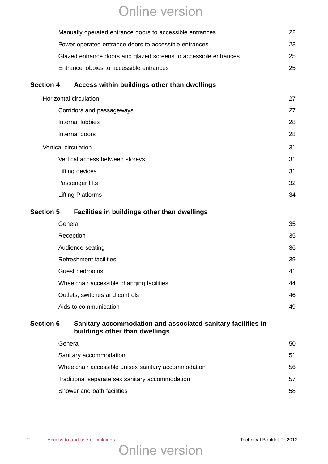|                  | Manually operated entrance doors to accessible entrances                                       | 22 |
|------------------|------------------------------------------------------------------------------------------------|----|
|                  | Power operated entrance doors to accessible entrances                                          | 23 |
|                  | Glazed entrance doors and glazed screens to accessible entrances                               | 25 |
|                  | Entrance lobbies to accessible entrances                                                       | 25 |
| <b>Section 4</b> | Access within buildings other than dwellings                                                   |    |
|                  | <b>Horizontal circulation</b>                                                                  | 27 |
|                  | Corridors and passageways                                                                      | 27 |
|                  | Internal lobbies                                                                               | 28 |
|                  | Internal doors                                                                                 | 28 |
|                  | Vertical circulation                                                                           | 31 |
|                  | Vertical access between storeys                                                                | 31 |
|                  | Lifting devices                                                                                | 31 |
|                  | Passenger lifts                                                                                | 32 |
|                  | <b>Lifting Platforms</b>                                                                       | 34 |
| <b>Section 5</b> | Facilities in buildings other than dwellings                                                   |    |
|                  | General                                                                                        | 35 |
|                  | Reception                                                                                      | 35 |
|                  | Audience seating                                                                               | 36 |
|                  | <b>Refreshment facilities</b>                                                                  | 39 |
|                  | Guest bedrooms                                                                                 | 41 |
|                  | Wheelchair accessible changing facilities                                                      | 44 |
|                  | Outlets, switches and controls                                                                 | 46 |
|                  | Aids to communication                                                                          | 49 |
| <b>Section 6</b> | Sanitary accommodation and associated sanitary facilities in<br>buildings other than dwellings |    |
|                  | General                                                                                        | 50 |
|                  | Sanitary accommodation                                                                         | 51 |
|                  | Wheelchair accessible unisex sanitary accommodation                                            | 56 |
|                  | Traditional separate sex sanitary accommodation                                                | 57 |
|                  | Shower and bath facilities                                                                     | 58 |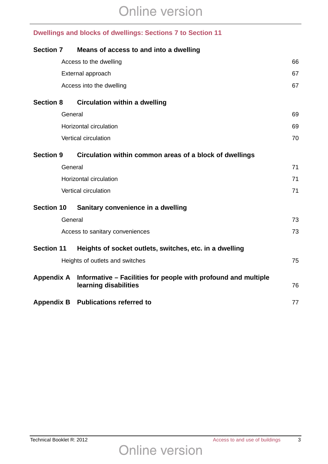### **Dwellings and blocks of dwellings: Sections 7 to Section 11**

| <b>Section 7</b>  |         | Means of access to and into a dwelling                                                  |    |
|-------------------|---------|-----------------------------------------------------------------------------------------|----|
|                   |         | Access to the dwelling                                                                  | 66 |
|                   |         | External approach                                                                       | 67 |
|                   |         | Access into the dwelling                                                                | 67 |
| <b>Section 8</b>  |         | <b>Circulation within a dwelling</b>                                                    |    |
|                   | General |                                                                                         | 69 |
|                   |         | Horizontal circulation                                                                  | 69 |
|                   |         | Vertical circulation                                                                    | 70 |
| <b>Section 9</b>  |         | Circulation within common areas of a block of dwellings                                 |    |
|                   | General |                                                                                         | 71 |
|                   |         | Horizontal circulation                                                                  | 71 |
|                   |         | Vertical circulation                                                                    | 71 |
| <b>Section 10</b> |         | Sanitary convenience in a dwelling                                                      |    |
|                   | General |                                                                                         | 73 |
|                   |         | Access to sanitary conveniences                                                         | 73 |
| <b>Section 11</b> |         | Heights of socket outlets, switches, etc. in a dwelling                                 |    |
|                   |         | Heights of outlets and switches                                                         | 75 |
| <b>Appendix A</b> |         | Informative – Facilities for people with profound and multiple<br>learning disabilities | 76 |
|                   |         | Appendix B Publications referred to                                                     | 77 |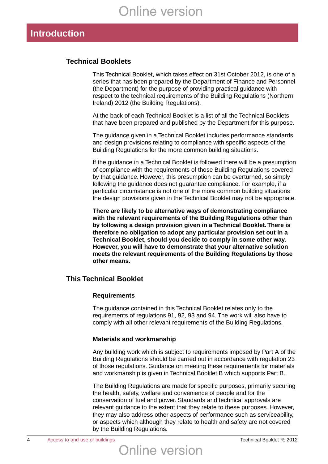## **Introduction**

#### **Technical Booklets**

This Technical Booklet, which takes effect on 31st October 2012, is one of a series that has been prepared by the Department of Finance and Personnel (the Department) for the purpose of providing practical guidance with respect to the technical requirements of the Building Regulations (Northern Ireland) 2012 (the Building Regulations).

At the back of each Technical Booklet is a list of all the Technical Booklets that have been prepared and published by the Department for this purpose.

The guidance given in a Technical Booklet includes performance standards and design provisions relating to compliance with specific aspects of the Building Regulations for the more common building situations.

If the guidance in a Technical Booklet is followed there will be a presumption of compliance with the requirements of those Building Regulations covered by that guidance. However, this presumption can be overturned, so simply following the guidance does not guarantee compliance. For example, if a particular circumstance is not one of the more common building situations the design provisions given in the Technical Booklet may not be appropriate.

**There are likely to be alternative ways of demonstrating compliance with the relevant requirements of the Building Regulations other than by following a design provision given in a Technical Booklet.There is therefore no obligation to adopt any particular provision set out in a Technical Booklet, should you decide to comply in some other way. However, you will have to demonstrate that your alternative solution meets the relevant requirements of the Building Regulations by those other means.**

#### **This Technical Booklet**

#### **Requirements**

The guidance contained in this Technical Booklet relates only to the requirements of regulations 91, 92, 93 and 94. The work will also have to comply with all other relevant requirements of the Building Regulations.

#### **Materials and workmanship**

Any building work which is subject to requirements imposed by Part A of the Building Regulations should be carried out in accordance with regulation 23 of those regulations. Guidance on meeting these requirements for materials and workmanship is given in Technical Booklet B which supports Part B.

The Building Regulations are made for specific purposes, primarily securing the health, safety, welfare and convenience of people and for the conservation of fuel and power. Standards and technical approvals are relevant guidance to the extent that they relate to these purposes. However, they may also address other aspects of performance such as serviceability, or aspects which although they relate to health and safety are not covered by the Building Regulations.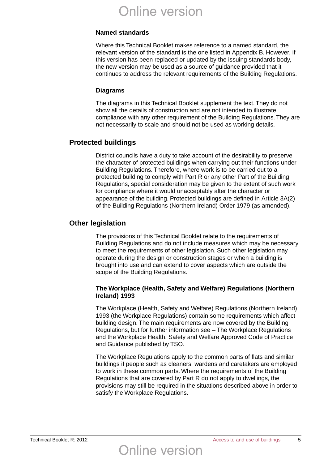#### **Named standards**

Where this Technical Booklet makes reference to a named standard, the relevant version of the standard is the one listed in Appendix B. However, if this version has been replaced or updated by the issuing standards body, the new version may be used as a source of guidance provided that it continues to address the relevant requirements of the Building Regulations.

#### **Diagrams**

The diagrams in this Technical Booklet supplement the text. They do not show all the details of construction and are not intended to illustrate compliance with any other requirement of the Building Regulations. They are not necessarily to scale and should not be used as working details.

#### **Protected buildings**

District councils have a duty to take account of the desirability to preserve the character of protected buildings when carrying out their functions under Building Regulations. Therefore, where work is to be carried out to a protected building to comply with Part R or any other Part of the Building Regulations, special consideration may be given to the extent of such work for compliance where it would unacceptably alter the character or appearance of the building. Protected buildings are defined in Article 3A(2) of the Building Regulations (Northern Ireland) Order 1979 (as amended).

#### **Other legislation**

The provisions of this Technical Booklet relate to the requirements of Building Regulations and do not include measures which may be necessary to meet the requirements of other legislation. Such other legislation may operate during the design or construction stages or when a building is brought into use and can extend to cover aspects which are outside the scope of the Building Regulations.

#### **The Workplace (Health, Safety and Welfare) Regulations (Northern Ireland) 1993**

The Workplace (Health, Safety and Welfare) Regulations (Northern Ireland) 1993 (the Workplace Regulations) contain some requirements which affect building design. The main requirements are now covered by the Building Regulations, but for further information see – The Workplace Regulations and the Workplace Health, Safety and Welfare Approved Code of Practice and Guidance published by TSO.

The Workplace Regulations apply to the common parts of flats and similar buildings if people such as cleaners, wardens and caretakers are employed to work in these common parts. Where the requirements of the Building Regulations that are covered by Part R do not apply to dwellings, the provisions may still be required in the situations described above in order to satisfy the Workplace Regulations.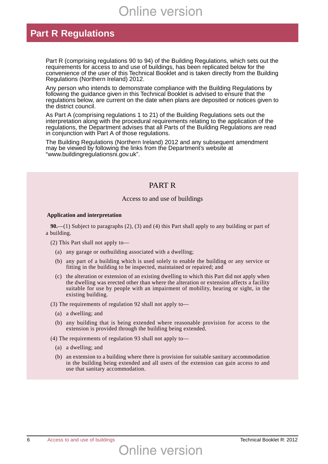## **Part R Regulations**

Part R (comprising regulations 90 to 94) of the Building Regulations, which sets out the requirements for access to and use of buildings, has been replicated below for the convenience of the user of this Technical Booklet and is taken directly from the Building Regulations (Northern Ireland) 2012.

Any person who intends to demonstrate compliance with the Building Regulations by following the guidance given in this Technical Booklet is advised to ensure that the regulations below, are current on the date when plans are deposited or notices given to the district council.

As Part A (comprising regulations 1 to 21) of the Building Regulations sets out the interpretation along with the procedural requirements relating to the application of the regulations, the Department advises that all Parts of the Building Regulations are read in conjunction with Part A of those regulations.

The Building Regulations (Northern Ireland) 2012 and any subsequent amendment may be viewed by following the links from the Department's website at "www.buildingregulationsni.gov.uk".

#### PART R

#### Access to and use of buildings

#### **Application and interpretation**

**90.**—(1) Subject to paragraphs (2), (3) and (4) this Part shall apply to any building or part of a building.

(2) This Part shall not apply to—

- (a) any garage or outbuilding associated with a dwelling;
- (b) any part of a building which is used solely to enable the building or any service or fitting in the building to be inspected, maintained or repaired; and
- (c) the alteration or extension of an existing dwelling to which this Part did not apply when the dwelling was erected other than where the alteration or extension affects a facility suitable for use by people with an impairment of mobility, hearing or sight, in the existing building.

(3) The requirements of regulation 92 shall not apply to—

- (a) a dwelling; and
- (b) any building that is being extended where reasonable provision for access to the extension is provided through the building being extended.

(4) The requirements of regulation 93 shall not apply to—

- (a) a dwelling; and
- (b) an extension to a building where there is provision for suitable sanitary accommodation in the building being extended and all users of the extension can gain access to and use that sanitary accommodation.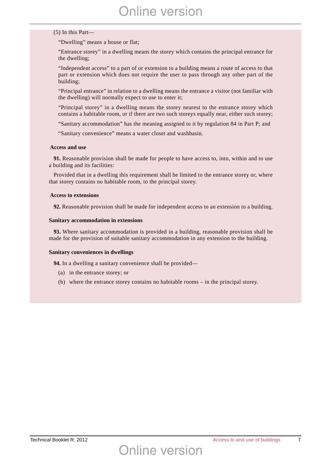#### (5) In this Part—

"Dwelling" means a house or flat;

"Entrance storey" in a dwelling means the storey which contains the principal entrance for the dwelling;

"Independent access" to a part of or extension to a building means a route of access to that part or extension which does not require the user to pass through any other part of the building;

"Principal entrance" in relation to a dwelling means the entrance a visitor (not familiar with the dwelling) will normally expect to use to enter it;

"Principal storey" in a dwelling means the storey nearest to the entrance storey which contains a habitable room, or if there are two such storeys equally near, either such storey;

"Sanitary accommodation" has the meaning assigned to it by regulation 84 in Part P; and

"Sanitary convenience" means a water closet and washbasin.

#### **Access and use**

**91.** Reasonable provision shall be made for people to have access to, into, within and to use a building and its facilities:

Provided that in a dwelling this requirement shall be limited to the entrance storey or, where that storey contains no habitable room, to the principal storey.

#### **Access to extensions**

**92.** Reasonable provision shall be made for independent access to an extension to a building.

#### **Sanitary accommodation in extensions**

**93.** Where sanitary accommodation is provided in a building, reasonable provision shall be made for the provision of suitable sanitary accommodation in any extension to the building.

#### **Sanitary conveniences in dwellings**

**94.** In a dwelling a sanitary convenience shall be provided—

- (a) in the entrance storey; or
- (b) where the entrance storey contains no habitable rooms in the principal storey.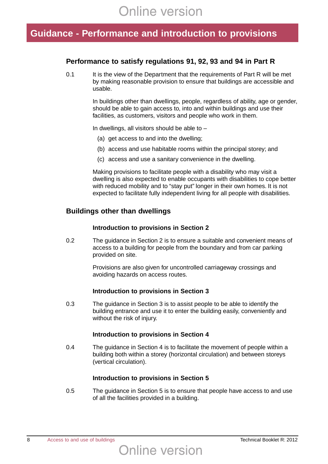## **Guidance - Performance and introduction to provisions**

#### **Performance to satisfy regulations 91, 92, 93 and 94 in Part R**

0.1 It is the view of the Department that the requirements of Part R will be met by making reasonable provision to ensure that buildings are accessible and usable.

> In buildings other than dwellings, people, regardless of ability, age or gender, should be able to gain access to, into and within buildings and use their facilities, as customers, visitors and people who work in them.

In dwellings, all visitors should be able to  $-$ 

- (a) get access to and into the dwelling;
- (b) access and use habitable rooms within the principal storey; and
- (c) access and use a sanitary convenience in the dwelling.

Making provisions to facilitate people with a disability who may visit a dwelling is also expected to enable occupants with disabilities to cope better with reduced mobility and to "stay put" longer in their own homes. It is not expected to facilitate fully independent living for all people with disabilities.

#### **Buildings other than dwellings**

#### **Introduction to provisions in Section 2**

0.2 The guidance in Section 2 is to ensure a suitable and convenient means of access to a building for people from the boundary and from car parking provided on site.

> Provisions are also given for uncontrolled carriageway crossings and avoiding hazards on access routes.

#### **Introduction to provisions in Section 3**

0.3 The guidance in Section 3 is to assist people to be able to identify the building entrance and use it to enter the building easily, conveniently and without the risk of injury.

#### **Introduction to provisions in Section 4**

0.4 The guidance in Section 4 is to facilitate the movement of people within a building both within a storey (horizontal circulation) and between storeys (vertical circulation).

#### **Introduction to provisions in Section 5**

0.5 The guidance in Section 5 is to ensure that people have access to and use of all the facilities provided in a building.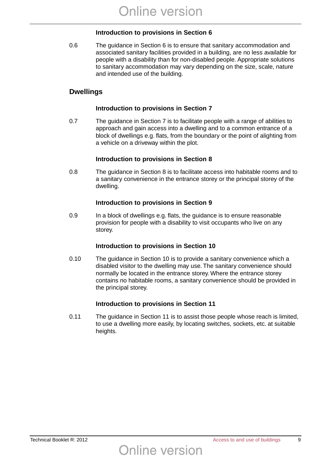#### **Introduction to provisions in Section 6**

0.6 The guidance in Section 6 is to ensure that sanitary accommodation and associated sanitary facilities provided in a building, are no less available for people with a disability than for non-disabled people. Appropriate solutions to sanitary accommodation may vary depending on the size, scale, nature and intended use of the building.

#### **Dwellings**

#### **Introduction to provisions in Section 7**

0.7 The guidance in Section 7 is to facilitate people with a range of abilities to approach and gain access into a dwelling and to a common entrance of a block of dwellings e.g. flats, from the boundary or the point of alighting from a vehicle on a driveway within the plot.

#### **Introduction to provisions in Section 8**

0.8 The guidance in Section 8 is to facilitate access into habitable rooms and to a sanitary convenience in the entrance storey or the principal storey of the dwelling.

#### **Introduction to provisions in Section 9**

0.9 In a block of dwellings e.g. flats, the guidance is to ensure reasonable provision for people with a disability to visit occupants who live on any storey.

#### **Introduction to provisions in Section 10**

0.10 The guidance in Section 10 is to provide a sanitary convenience which a disabled visitor to the dwelling may use. The sanitary convenience should normally be located in the entrance storey. Where the entrance storey contains no habitable rooms, a sanitary convenience should be provided in the principal storey.

#### **Introduction to provisions in Section 11**

Online version

0.11 The guidance in Section 11 is to assist those people whose reach is limited, to use a dwelling more easily, by locating switches, sockets, etc. at suitable heights.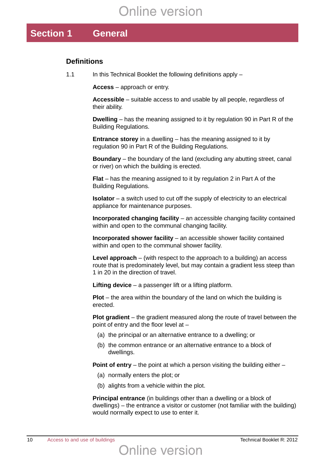## **Section 1 General**

#### **Definitions**

1.1 In this Technical Booklet the following definitions apply –

**Access** – approach or entry.

**Accessible** – suitable access to and usable by all people, regardless of their ability.

**Dwelling** – has the meaning assigned to it by regulation 90 in Part R of the Building Regulations.

**Entrance storey** in a dwelling – has the meaning assigned to it by regulation 90 in Part R of the Building Regulations.

**Boundary** – the boundary of the land (excluding any abutting street, canal or river) on which the building is erected.

**Flat** – has the meaning assigned to it by regulation 2 in Part A of the Building Regulations.

**Isolator** – a switch used to cut off the supply of electricity to an electrical appliance for maintenance purposes.

**Incorporated changing facility** – an accessible changing facility contained within and open to the communal changing facility.

**Incorporated shower facility** – an accessible shower facility contained within and open to the communal shower facility.

**Level approach** – (with respect to the approach to a building) an access route that is predominately level, but may contain a gradient less steep than 1 in 20 in the direction of travel.

**Lifting device** – a passenger lift or a lifting platform.

**Plot** – the area within the boundary of the land on which the building is erected.

**Plot gradient** – the gradient measured along the route of travel between the point of entry and the floor level at –

- (a) the principal or an alternative entrance to a dwelling; or
- (b) the common entrance or an alternative entrance to a block of dwellings.

**Point of entry** – the point at which a person visiting the building either –

- (a) normally enters the plot; or
- (b) alights from a vehicle within the plot.

**Principal entrance** (in buildings other than a dwelling or a block of dwellings) – the entrance a visitor or customer (not familiar with the building) would normally expect to use to enter it.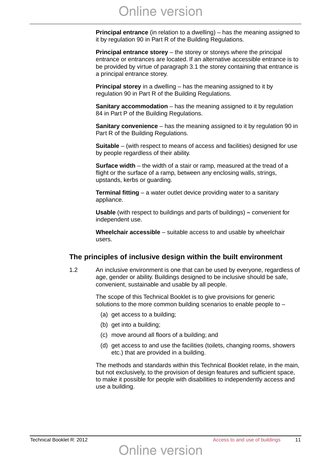**Principal entrance** (in relation to a dwelling) – has the meaning assigned to it by regulation 90 in Part R of the Building Regulations.

**Principal entrance storey** – the storey or storeys where the principal entrance or entrances are located. If an alternative accessible entrance is to be provided by virtue of paragraph 3.1 the storey containing that entrance is a principal entrance storey.

**Principal storey** in a dwelling – has the meaning assigned to it by regulation 90 in Part R of the Building Regulations.

**Sanitary accommodation** – has the meaning assigned to it by regulation 84 in Part P of the Building Regulations.

**Sanitary convenience** – has the meaning assigned to it by regulation 90 in Part R of the Building Regulations.

**Suitable** – (with respect to means of access and facilities) designed for use by people regardless of their ability.

**Surface width** – the width of a stair or ramp, measured at the tread of a flight or the surface of a ramp, between any enclosing walls, strings, upstands, kerbs or guarding.

**Terminal fitting** – a water outlet device providing water to a sanitary appliance.

**Usable** (with respect to buildings and parts of buildings) **–** convenient for independent use.

**Wheelchair accessible** – suitable access to and usable by wheelchair users.

#### **The principles of inclusive design within the built environment**

1.2 An inclusive environment is one that can be used by everyone, regardless of age, gender or ability. Buildings designed to be inclusive should be safe, convenient, sustainable and usable by all people.

> The scope of this Technical Booklet is to give provisions for generic solutions to the more common building scenarios to enable people to –

- (a) get access to a building;
- (b) get into a building;
- (c) move around all floors of a building; and

Online version

(d) get access to and use the facilities (toilets, changing rooms, showers etc.) that are provided in a building.

The methods and standards within this Technical Booklet relate, in the main, but not exclusively, to the provision of design features and sufficient space, to make it possible for people with disabilities to independently access and use a building.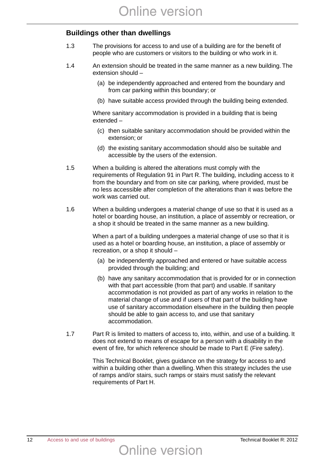#### **Buildings other than dwellings**

- 1.3 The provisions for access to and use of a building are for the benefit of people who are customers or visitors to the building or who work in it.
- 1.4 An extension should be treated in the same manner as a new building. The extension should –
	- (a) be independently approached and entered from the boundary and from car parking within this boundary; or
	- (b) have suitable access provided through the building being extended.

Where sanitary accommodation is provided in a building that is being extended –

- (c) then suitable sanitary accommodation should be provided within the extension; or
- (d) the existing sanitary accommodation should also be suitable and accessible by the users of the extension.
- 1.5 When a building is altered the alterations must comply with the requirements of Regulation 91 in Part R. The building, including access to it from the boundary and from on site car parking, where provided, must be no less accessible after completion of the alterations than it was before the work was carried out.
- 1.6 When a building undergoes a material change of use so that it is used as a hotel or boarding house, an institution, a place of assembly or recreation, or a shop it should be treated in the same manner as a new building.

When a part of a building undergoes a material change of use so that it is used as a hotel or boarding house, an institution, a place of assembly or recreation, or a shop it should –

- (a) be independently approached and entered or have suitable access provided through the building; and
- (b) have any sanitary accommodation that is provided for or in connection with that part accessible (from that part) and usable. If sanitary accommodation is not provided as part of any works in relation to the material change of use and if users of that part of the building have use of sanitary accommodation elsewhere in the building then people should be able to gain access to, and use that sanitary accommodation.
- 1.7 Part R is limited to matters of access to, into, within, and use of a building. It does not extend to means of escape for a person with a disability in the event of fire, for which reference should be made to Part E (Fire safety).

This Technical Booklet, gives guidance on the strategy for access to and within a building other than a dwelling. When this strategy includes the use of ramps and/or stairs, such ramps or stairs must satisfy the relevant requirements of Part H.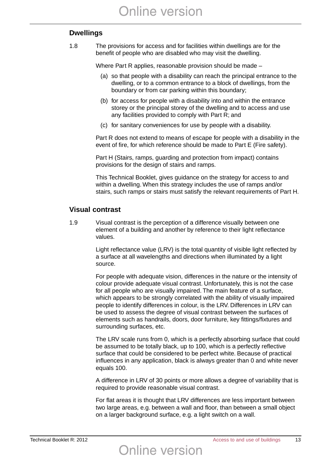#### **Dwellings**

1.8 The provisions for access and for facilities within dwellings are for the benefit of people who are disabled who may visit the dwelling.

Where Part R applies, reasonable provision should be made –

- (a) so that people with a disability can reach the principal entrance to the dwelling, or to a common entrance to a block of dwellings, from the boundary or from car parking within this boundary;
- (b) for access for people with a disability into and within the entrance storey or the principal storey of the dwelling and to access and use any facilities provided to comply with Part R; and
- (c) for sanitary conveniences for use by people with a disability.

Part R does not extend to means of escape for people with a disability in the event of fire, for which reference should be made to Part E (Fire safety).

Part H (Stairs, ramps, guarding and protection from impact) contains provisions for the design of stairs and ramps.

This Technical Booklet, gives guidance on the strategy for access to and within a dwelling. When this strategy includes the use of ramps and/or stairs, such ramps or stairs must satisfy the relevant requirements of Part H.

#### **Visual contrast**

1.9 Visual contrast is the perception of a difference visually between one element of a building and another by reference to their light reflectance values.

> Light reflectance value (LRV) is the total quantity of visible light reflected by a surface at all wavelengths and directions when illuminated by a light source.

> For people with adequate vision, differences in the nature or the intensity of colour provide adequate visual contrast. Unfortunately, this is not the case for all people who are visually impaired. The main feature of a surface, which appears to be strongly correlated with the ability of visually impaired people to identify differences in colour, is the LRV. Differences in LRV can be used to assess the degree of visual contrast between the surfaces of elements such as handrails, doors, door furniture, key fittings/fixtures and surrounding surfaces, etc.

The LRV scale runs from 0, which is a perfectly absorbing surface that could be assumed to be totally black, up to 100, which is a perfectly reflective surface that could be considered to be perfect white. Because of practical influences in any application, black is always greater than 0 and white never equals 100.

A difference in LRV of 30 points or more allows a degree of variability that is required to provide reasonable visual contrast.

For flat areas it is thought that LRV differences are less important between two large areas, e.g. between a wall and floor, than between a small object on a larger background surface, e.g. a light switch on a wall.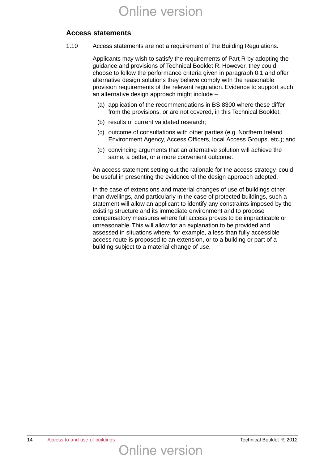#### **Access statements**

1.10 Access statements are not a requirement of the Building Regulations.

Applicants may wish to satisfy the requirements of Part R by adopting the guidance and provisions of Technical Booklet R. However, they could choose to follow the performance criteria given in paragraph 0.1 and offer alternative design solutions they believe comply with the reasonable provision requirements of the relevant regulation. Evidence to support such an alternative design approach might include –

- (a) application of the recommendations in BS 8300 where these differ from the provisions, or are not covered, in this Technical Booklet;
- (b) results of current validated research;
- (c) outcome of consultations with other parties (e.g. Northern Ireland Environment Agency, Access Officers, local Access Groups, etc.); and
- (d) convincing arguments that an alternative solution will achieve the same, a better, or a more convenient outcome.

An access statement setting out the rationale for the access strategy, could be useful in presenting the evidence of the design approach adopted.

In the case of extensions and material changes of use of buildings other than dwellings, and particularly in the case of protected buildings, such a statement will allow an applicant to identify any constraints imposed by the existing structure and its immediate environment and to propose compensatory measures where full access proves to be impracticable or unreasonable. This will allow for an explanation to be provided and assessed in situations where, for example, a less than fully accessible access route is proposed to an extension, or to a building or part of a building subject to a material change of use.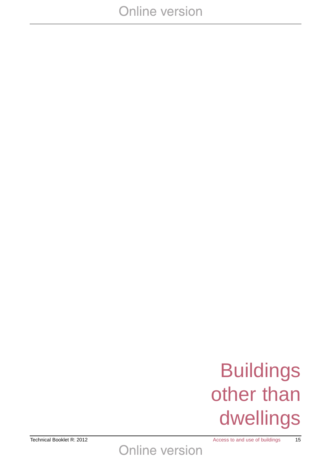# Buildings<br>
Other than<br>
dwellings other than dwellings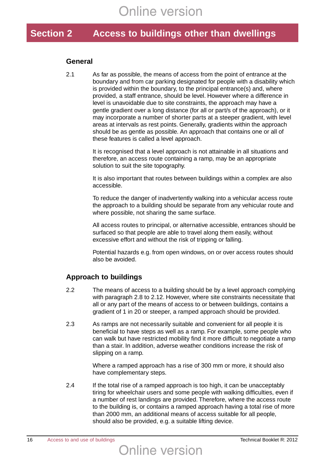## **Section 2 Access to buildings other than dwellings**

#### **General**

2.1 As far as possible, the means of access from the point of entrance at the boundary and from car parking designated for people with a disability which is provided within the boundary, to the principal entrance(s) and, where provided, a staff entrance, should be level. However where a difference in level is unavoidable due to site constraints, the approach may have a gentle gradient over a long distance (for all or part/s of the approach), or it may incorporate a number of shorter parts at a steeper gradient, with level areas at intervals as rest points. Generally, gradients within the approach should be as gentle as possible. An approach that contains one or all of these features is called a level approach.

> It is recognised that a level approach is not attainable in all situations and therefore, an access route containing a ramp, may be an appropriate solution to suit the site topography.

It is also important that routes between buildings within a complex are also accessible.

To reduce the danger of inadvertently walking into a vehicular access route the approach to a building should be separate from any vehicular route and where possible, not sharing the same surface.

All access routes to principal, or alternative accessible, entrances should be surfaced so that people are able to travel along them easily, without excessive effort and without the risk of tripping or falling.

Potential hazards e.g. from open windows, on or over access routes should also be avoided.

#### **Approach to buildings**

- 2.2 The means of access to a building should be by a level approach complying with paragraph 2.8 to 2.12. However, where site constraints necessitate that all or any part of the means of access to or between buildings, contains a gradient of 1 in 20 or steeper, a ramped approach should be provided.
- 2.3 As ramps are not necessarily suitable and convenient for all people it is beneficial to have steps as well as a ramp. For example, some people who can walk but have restricted mobility find it more difficult to negotiate a ramp than a stair. In addition, adverse weather conditions increase the risk of slipping on a ramp.

Where a ramped approach has a rise of 300 mm or more, it should also have complementary steps.

2.4 If the total rise of a ramped approach is too high, it can be unacceptably tiring for wheelchair users and some people with walking difficulties, even if a number of rest landings are provided. Therefore, where the access route to the building is, or contains a ramped approach having a total rise of more than 2000 mm, an additional means of access suitable for all people, should also be provided, e.g. a suitable lifting device.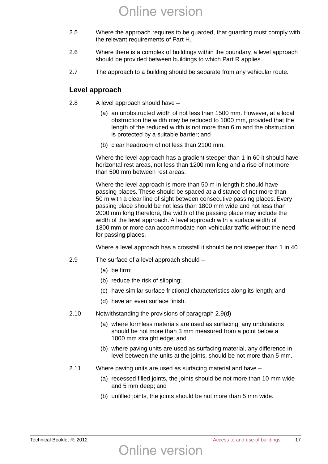- 2.5 Where the approach requires to be guarded, that guarding must comply with the relevant requirements of Part H.
- 2.6 Where there is a complex of buildings within the boundary, a level approach should be provided between buildings to which Part R applies.
- 2.7 The approach to a building should be separate from any vehicular route.

#### **Level approach**

- 2.8 A level approach should have
	- (a) an unobstructed width of not less than 1500 mm. However, at a local obstruction the width may be reduced to 1000 mm, provided that the length of the reduced width is not more than 6 m and the obstruction is protected by a suitable barrier; and
	- (b) clear headroom of not less than 2100 mm.

Where the level approach has a gradient steeper than 1 in 60 it should have horizontal rest areas, not less than 1200 mm long and a rise of not more than 500 mm between rest areas.

Where the level approach is more than 50 m in length it should have passing places. These should be spaced at a distance of not more than 50 m with a clear line of sight between consecutive passing places. Every passing place should be not less than 1800 mm wide and not less than 2000 mm long therefore, the width of the passing place may include the width of the level approach. A level approach with a surface width of 1800 mm or more can accommodate non-vehicular traffic without the need for passing places.

Where a level approach has a crossfall it should be not steeper than 1 in 40.

- 2.9 The surface of a level approach should
	- (a) be firm;
	- (b) reduce the risk of slipping;
	- (c) have similar surface frictional characteristics along its length; and
	- (d) have an even surface finish.
- 2.10 Notwithstanding the provisions of paragraph 2.9(d)
	- (a) where formless materials are used as surfacing, any undulations should be not more than 3 mm measured from a point below a 1000 mm straight edge; and
	- (b) where paving units are used as surfacing material, any difference in level between the units at the joints, should be not more than 5 mm.
- 2.11 Where paving units are used as surfacing material and have –

- (a) recessed filled joints, the joints should be not more than 10 mm wide and 5 mm deep; and
- (b) unfilled joints, the joints should be not more than 5 mm wide.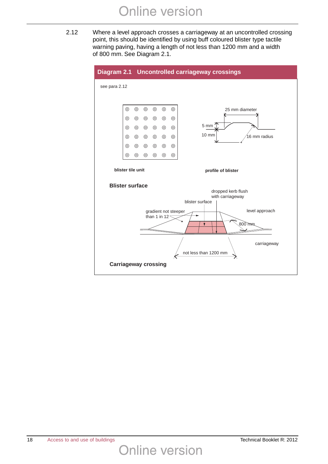2.12 Where a level approach crosses a carriageway at an uncontrolled crossing point, this should be identified by using buff coloured blister type tactile warning paving, having a length of not less than 1200 mm and a width of 800 mm. See Diagram 2.1.

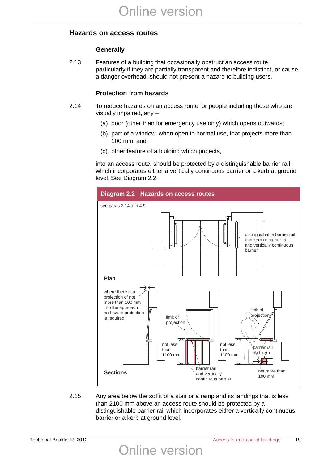#### **Hazards on access routes**

#### **Generally**

2.13 Features of a building that occasionally obstruct an access route, particularly if they are partially transparent and therefore indistinct, or cause a danger overhead, should not present a hazard to building users.

#### **Protection from hazards**

- 2.14 To reduce hazards on an access route for people including those who are visually impaired, any –
	- (a) door (other than for emergency use only) which opens outwards;
	- (b) part of a window, when open in normal use, that projects more than 100 mm; and
	- (c) other feature of a building which projects,

into an access route, should be protected by a distinguishable barrier rail which incorporates either a vertically continuous barrier or a kerb at ground level. See Diagram 2.2.



2.15 Any area below the soffit of a stair or a ramp and its landings that is less than 2100 mm above an access route should be protected by a distinguishable barrier rail which incorporates either a vertically continuous barrier or a kerb at ground level.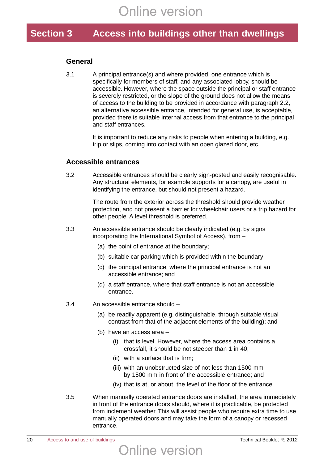## **Section 3 Access into buildings other than dwellings**

#### **General**

3.1 A principal entrance(s) and where provided, one entrance which is specifically for members of staff, and any associated lobby, should be accessible. However, where the space outside the principal or staff entrance is severely restricted, or the slope of the ground does not allow the means of access to the building to be provided in accordance with paragraph 2.2, an alternative accessible entrance, intended for general use, is acceptable, provided there is suitable internal access from that entrance to the principal and staff entrances.

> It is important to reduce any risks to people when entering a building, e.g. trip or slips, coming into contact with an open glazed door, etc.

#### **Accessible entrances**

3.2 Accessible entrances should be clearly sign-posted and easily recognisable. Any structural elements, for example supports for a canopy, are useful in identifying the entrance, but should not present a hazard.

> The route from the exterior across the threshold should provide weather protection, and not present a barrier for wheelchair users or a trip hazard for other people. A level threshold is preferred.

- 3.3 An accessible entrance should be clearly indicated (e.g. by signs incorporating the International Symbol of Access), from –
	- (a) the point of entrance at the boundary;
	- (b) suitable car parking which is provided within the boundary;
	- (c) the principal entrance, where the principal entrance is not an accessible entrance; and
	- (d) a staff entrance, where that staff entrance is not an accessible entrance.
- 3.4 An accessible entrance should
	- (a) be readily apparent (e.g. distinguishable, through suitable visual contrast from that of the adjacent elements of the building); and
	- (b) have an access area
		- (i) that is level. However, where the access area contains a crossfall, it should be not steeper than 1 in 40;
		- (ii) with a surface that is firm;
		- (iii) with an unobstructed size of not less than 1500 mm by 1500 mm in front of the accessible entrance; and
		- (iv) that is at, or about, the level of the floor of the entrance.
- 3.5 When manually operated entrance doors are installed, the area immediately in front of the entrance doors should, where it is practicable, be protected from inclement weather. This will assist people who require extra time to use manually operated doors and may take the form of a canopy or recessed entrance.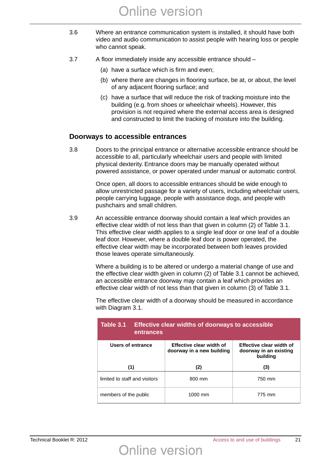- 3.6 Where an entrance communication system is installed, it should have both video and audio communication to assist people with hearing loss or people who cannot speak.
- 3.7 A floor immediately inside any accessible entrance should
	- (a) have a surface which is firm and even;
	- (b) where there are changes in flooring surface, be at, or about, the level of any adjacent flooring surface; and
	- (c) have a surface that will reduce the risk of tracking moisture into the building (e.g. from shoes or wheelchair wheels). However, this provision is not required where the external access area is designed and constructed to limit the tracking of moisture into the building.

#### **Doorways to accessible entrances**

3.8 Doors to the principal entrance or alternative accessible entrance should be accessible to all, particularly wheelchair users and people with limited physical dexterity. Entrance doors may be manually operated without powered assistance, or power operated under manual or automatic control.

> Once open, all doors to accessible entrances should be wide enough to allow unrestricted passage for a variety of users, including wheelchair users, people carrying luggage, people with assistance dogs, and people with pushchairs and small children.

3.9 An accessible entrance doorway should contain a leaf which provides an effective clear width of not less than that given in column (2) of Table 3.1. This effective clear width applies to a single leaf door or one leaf of a double leaf door. However, where a double leaf door is power operated, the effective clear width may be incorporated between both leaves provided those leaves operate simultaneously.

> Where a building is to be altered or undergo a material change of use and the effective clear width given in column (2) of Table 3.1 cannot be achieved, an accessible entrance doorway may contain a leaf which provides an effective clear width of not less than that given in column (3) of Table 3.1.

with Diagram 3.1.

The effective clear width of a doorway should be measured in accordance

| Table 3.1<br>entrances        | <b>Effective clear widths of doorways to accessible</b> |                                                                |  |  |  |
|-------------------------------|---------------------------------------------------------|----------------------------------------------------------------|--|--|--|
| Users of entrance             | Effective clear width of<br>doorway in a new building   | Effective clear width of<br>doorway in an existing<br>building |  |  |  |
| (1)                           | (2)                                                     | (3)                                                            |  |  |  |
| limited to staff and visitors | 800 mm                                                  | 750 mm                                                         |  |  |  |
| members of the public         | 1000 mm                                                 | 775 mm                                                         |  |  |  |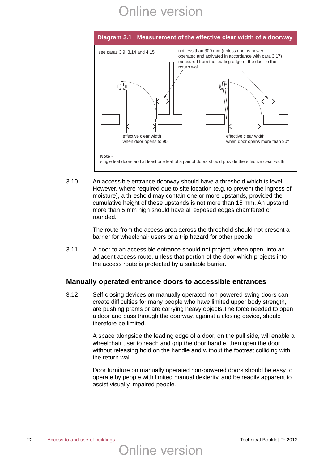

3.10 An accessible entrance doorway should have a threshold which is level. However, where required due to site location (e.g. to prevent the ingress of moisture), a threshold may contain one or more upstands, provided the cumulative height of these upstands is not more than 15 mm. An upstand more than 5 mm high should have all exposed edges chamfered or rounded.

> The route from the access area across the threshold should not present a barrier for wheelchair users or a trip hazard for other people.

3.11 A door to an accessible entrance should not project, when open, into an adjacent access route, unless that portion of the door which projects into the access route is protected by a suitable barrier.

#### **Manually operated entrance doors to accessible entrances**

3.12 Self-closing devices on manually operated non-powered swing doors can create difficulties for many people who have limited upper body strength, are pushing prams or are carrying heavy objects.The force needed to open a door and pass through the doorway, against a closing device, should therefore be limited.

> A space alongside the leading edge of a door, on the pull side, will enable a wheelchair user to reach and grip the door handle, then open the door without releasing hold on the handle and without the footrest colliding with the return wall.

> Door furniture on manually operated non-powered doors should be easy to operate by people with limited manual dexterity, and be readily apparent to assist visually impaired people.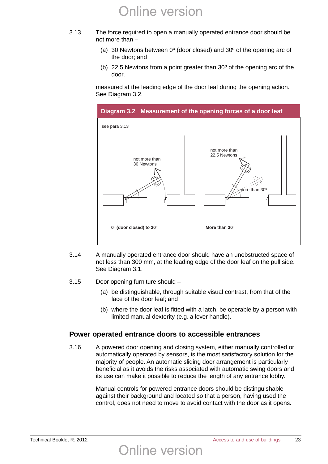- 3.13 The force required to open a manually operated entrance door should be not more than –
	- (a) 30 Newtons between 0º (door closed) and 30º of the opening arc of the door; and
	- (b) 22.5 Newtons from a point greater than 30º of the opening arc of the door,

measured at the leading edge of the door leaf during the opening action. See Diagram 3.2.



- 3.14 A manually operated entrance door should have an unobstructed space of not less than 300 mm, at the leading edge of the door leaf on the pull side. See Diagram 3.1.
- 3.15 Door opening furniture should
	- (a) be distinguishable, through suitable visual contrast, from that of the face of the door leaf; and
	- (b) where the door leaf is fitted with a latch, be operable by a person with limited manual dexterity (e.g. a lever handle).

#### **Power operated entrance doors to accessible entrances**

3.16 A powered door opening and closing system, either manually controlled or automatically operated by sensors, is the most satisfactory solution for the majority of people. An automatic sliding door arrangement is particularly beneficial as it avoids the risks associated with automatic swing doors and its use can make it possible to reduce the length of any entrance lobby.

> Manual controls for powered entrance doors should be distinguishable against their background and located so that a person, having used the control, does not need to move to avoid contact with the door as it opens.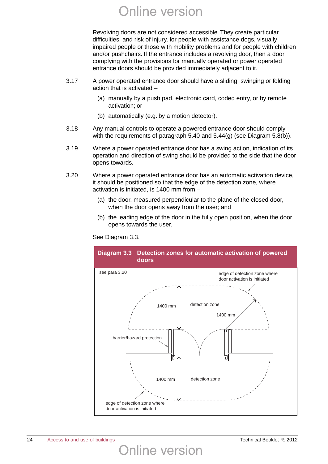Revolving doors are not considered accessible. They create particular difficulties, and risk of injury, for people with assistance dogs, visually impaired people or those with mobility problems and for people with children and/or pushchairs. If the entrance includes a revolving door, then a door complying with the provisions for manually operated or power operated entrance doors should be provided immediately adjacent to it.

- 3.17 A power operated entrance door should have a sliding, swinging or folding action that is activated –
	- (a) manually by a push pad, electronic card, coded entry, or by remote activation; or
	- (b) automatically (e.g. by a motion detector).
- 3.18 Any manual controls to operate a powered entrance door should comply with the requirements of paragraph 5.40 and 5.44(g) (see Diagram 5.8(b)).
- 3.19 Where a power operated entrance door has a swing action, indication of its operation and direction of swing should be provided to the side that the door opens towards.
- 3.20 Where a power operated entrance door has an automatic activation device, it should be positioned so that the edge of the detection zone, where activation is initiated, is 1400 mm from –
	- (a) the door, measured perpendicular to the plane of the closed door, when the door opens away from the user; and
	- (b) the leading edge of the door in the fully open position, when the door opens towards the user.

See Diagram 3.3.

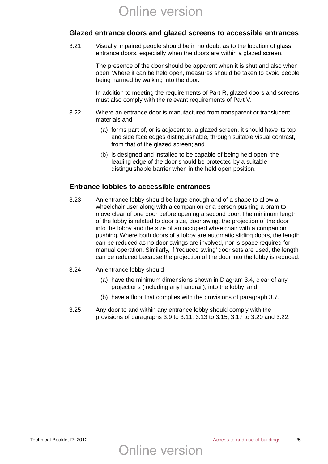#### **Glazed entrance doors and glazed screens to accessible entrances**

3.21 Visually impaired people should be in no doubt as to the location of glass entrance doors, especially when the doors are within a glazed screen.

> The presence of the door should be apparent when it is shut and also when open. Where it can be held open, measures should be taken to avoid people being harmed by walking into the door.

> In addition to meeting the requirements of Part R, glazed doors and screens must also comply with the relevant requirements of Part V.

- 3.22 Where an entrance door is manufactured from transparent or translucent materials and –
	- (a) forms part of, or is adjacent to, a glazed screen, it should have its top and side face edges distinguishable, through suitable visual contrast, from that of the glazed screen; and
	- (b) is designed and installed to be capable of being held open, the leading edge of the door should be protected by a suitable distinguishable barrier when in the held open position.

#### **Entrance lobbies to accessible entrances**

- 3.23 An entrance lobby should be large enough and of a shape to allow a wheelchair user along with a companion or a person pushing a pram to move clear of one door before opening a second door. The minimum length of the lobby is related to door size, door swing, the projection of the door into the lobby and the size of an occupied wheelchair with a companion pushing. Where both doors of a lobby are automatic sliding doors, the length can be reduced as no door swings are involved, nor is space required for manual operation. Similarly, if 'reduced swing' door sets are used, the length can be reduced because the projection of the door into the lobby is reduced.
- 3.24 An entrance lobby should
	- (a) have the minimum dimensions shown in Diagram 3.4, clear of any projections (including any handrail), into the lobby; and
	- (b) have a floor that complies with the provisions of paragraph 3.7.
- 3.25 Any door to and within any entrance lobby should comply with the provisions of paragraphs 3.9 to 3.11, 3.13 to 3.15, 3.17 to 3.20 and 3.22.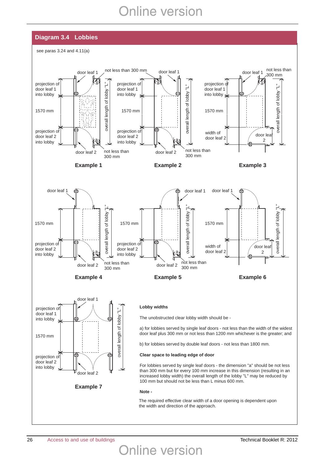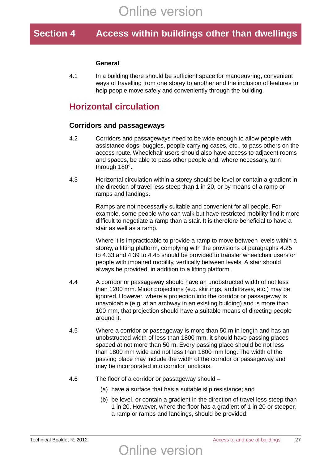## **Section 4 Access within buildings other than dwellings**

#### **General**

4.1 In a building there should be sufficient space for manoeuvring, convenient ways of travelling from one storey to another and the inclusion of features to help people move safely and conveniently through the building.

### **Horizontal circulation**

#### **Corridors and passageways**

- 4.2 Corridors and passageways need to be wide enough to allow people with assistance dogs, buggies, people carrying cases, etc., to pass others on the access route. Wheelchair users should also have access to adjacent rooms and spaces, be able to pass other people and, where necessary, turn through 180°.
- 4.3 Horizontal circulation within a storey should be level or contain a gradient in the direction of travel less steep than 1 in 20, or by means of a ramp or ramps and landings.

Ramps are not necessarily suitable and convenient for all people. For example, some people who can walk but have restricted mobility find it more difficult to negotiate a ramp than a stair. It is therefore beneficial to have a stair as well as a ramp.

Where it is impracticable to provide a ramp to move between levels within a storey, a lifting platform, complying with the provisions of paragraphs 4.25 to 4.33 and 4.39 to 4.45 should be provided to transfer wheelchair users or people with impaired mobility, vertically between levels. A stair should always be provided, in addition to a lifting platform.

- 4.4 A corridor or passageway should have an unobstructed width of not less than 1200 mm. Minor projections (e.g. skirtings, architraves, etc.) may be ignored. However, where a projection into the corridor or passageway is unavoidable (e.g. at an archway in an existing building) and is more than 100 mm, that projection should have a suitable means of directing people around it.
- 4.5 Where a corridor or passageway is more than 50 m in length and has an unobstructed width of less than 1800 mm, it should have passing places spaced at not more than 50 m. Every passing place should be not less than 1800 mm wide and not less than 1800 mm long. The width of the passing place may include the width of the corridor or passageway and may be incorporated into corridor junctions.
- 4.6 The floor of a corridor or passageway should
	- (a) have a surface that has a suitable slip resistance; and
	- (b) be level, or contain a gradient in the direction of travel less steep than 1 in 20. However, where the floor has a gradient of 1 in 20 or steeper, a ramp or ramps and landings, should be provided.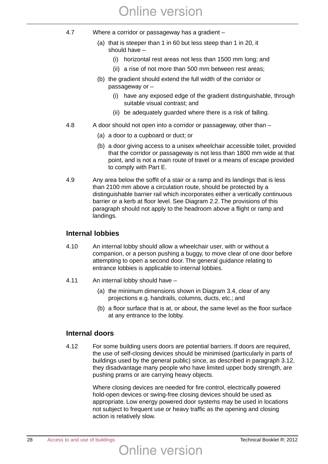- 4.7 Where a corridor or passageway has a gradient
	- (a) that is steeper than 1 in 60 but less steep than 1 in 20, it should have –
		- (i) horizontal rest areas not less than 1500 mm long; and
		- (ii) a rise of not more than 500 mm between rest areas;
	- (b) the gradient should extend the full width of the corridor or passageway or –
		- (i) have any exposed edge of the gradient distinguishable, through suitable visual contrast; and
		- (ii) be adequately guarded where there is a risk of falling.
- 4.8 A door should not open into a corridor or passageway, other than
	- (a) a door to a cupboard or duct; or
	- (b) a door giving access to a unisex wheelchair accessible toilet, provided that the corridor or passageway is not less than 1800 mm wide at that point, and is not a main route of travel or a means of escape provided to comply with Part E.
- 4.9 Any area below the soffit of a stair or a ramp and its landings that is less than 2100 mm above a circulation route, should be protected by a distinguishable barrier rail which incorporates either a vertically continuous barrier or a kerb at floor level. See Diagram 2.2. The provisions of this paragraph should not apply to the headroom above a flight or ramp and landings.

#### **Internal lobbies**

- 4.10 An internal lobby should allow a wheelchair user, with or without a companion, or a person pushing a buggy, to move clear of one door before attempting to open a second door. The general guidance relating to entrance lobbies is applicable to internal lobbies.
- 4.11 An internal lobby should have
	- (a) the minimum dimensions shown in Diagram 3.4, clear of any projections e.g. handrails, columns, ducts, etc.; and
	- (b) a floor surface that is at, or about, the same level as the floor surface at any entrance to the lobby.

#### **Internal doors**

4.12 For some building users doors are potential barriers. If doors are required, the use of self-closing devices should be minimised (particularly in parts of buildings used by the general public) since, as described in paragraph 3.12, they disadvantage many people who have limited upper body strength, are pushing prams or are carrying heavy objects.

> Where closing devices are needed for fire control, electrically powered hold-open devices or swing-free closing devices should be used as appropriate. Low energy powered door systems may be used in locations not subject to frequent use or heavy traffic as the opening and closing action is relatively slow.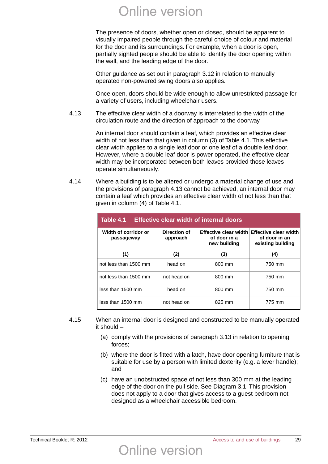The presence of doors, whether open or closed, should be apparent to visually impaired people through the careful choice of colour and material for the door and its surroundings. For example, when a door is open, partially sighted people should be able to identify the door opening within the wall, and the leading edge of the door.

Other guidance as set out in paragraph 3.12 in relation to manually operated non-powered swing doors also applies.

Once open, doors should be wide enough to allow unrestricted passage for a variety of users, including wheelchair users.

4.13 The effective clear width of a doorway is interrelated to the width of the circulation route and the direction of approach to the doorway.

> An internal door should contain a leaf, which provides an effective clear width of not less than that given in column (3) of Table 4.1. This effective clear width applies to a single leaf door or one leaf of a double leaf door. However, where a double leaf door is power operated, the effective clear width may be incorporated between both leaves provided those leaves operate simultaneously.

4.14 Where a building is to be altered or undergo a material change of use and the provisions of paragraph 4.13 cannot be achieved, an internal door may contain a leaf which provides an effective clear width of not less than that given in column (4) of Table 4.1.

| Table 4.1<br><b>Effective clear width of internal doors</b> |                          |                                                       |                                                             |  |  |  |
|-------------------------------------------------------------|--------------------------|-------------------------------------------------------|-------------------------------------------------------------|--|--|--|
| Width of corridor or<br>passageway                          | Direction of<br>approach | Effective clear width<br>of door in a<br>new building | Effective clear width<br>of door in an<br>existing building |  |  |  |
| (1)                                                         | (2)                      | (3)                                                   | (4)                                                         |  |  |  |
| not less than 1500 mm                                       | head on                  | 800 mm                                                | 750 mm                                                      |  |  |  |
| not less than 1500 mm                                       | not head on              | 800 mm                                                | 750 mm                                                      |  |  |  |
| less than 1500 mm                                           | head on                  | 800 mm                                                | 750 mm                                                      |  |  |  |
| less than 1500 mm                                           | not head on              | 825 mm                                                | 775 mm                                                      |  |  |  |

- 4.15 When an internal door is designed and constructed to be manually operated it should –
	- (a) comply with the provisions of paragraph 3.13 in relation to opening forces;
	- (b) where the door is fitted with a latch, have door opening furniture that is suitable for use by a person with limited dexterity (e.g. a lever handle); and
	- (c) have an unobstructed space of not less than 300 mm at the leading edge of the door on the pull side. See Diagram 3.1. This provision does not apply to a door that gives access to a guest bedroom not designed as a wheelchair accessible bedroom.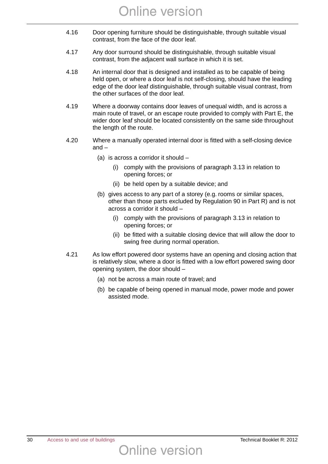- 4.16 Door opening furniture should be distinguishable, through suitable visual contrast, from the face of the door leaf.
- 4.17 Any door surround should be distinguishable, through suitable visual contrast, from the adjacent wall surface in which it is set.
- 4.18 An internal door that is designed and installed as to be capable of being held open, or where a door leaf is not self-closing, should have the leading edge of the door leaf distinguishable, through suitable visual contrast, from the other surfaces of the door leaf.
- 4.19 Where a doorway contains door leaves of unequal width, and is across a main route of travel, or an escape route provided to comply with Part E, the wider door leaf should be located consistently on the same side throughout the length of the route.
- 4.20 Where a manually operated internal door is fitted with a self-closing device and –
	- (a) is across a corridor it should
		- (i) comply with the provisions of paragraph 3.13 in relation to opening forces; or
		- (ii) be held open by a suitable device; and
	- (b) gives access to any part of a storey (e.g. rooms or similar spaces, other than those parts excluded by Regulation 90 in Part R) and is not across a corridor it should –
		- (i) comply with the provisions of paragraph 3.13 in relation to opening forces; or
		- (ii) be fitted with a suitable closing device that will allow the door to swing free during normal operation.
- 4.21 As low effort powered door systems have an opening and closing action that is relatively slow, where a door is fitted with a low effort powered swing door opening system, the door should –
	- (a) not be across a main route of travel; and
	- (b) be capable of being opened in manual mode, power mode and power assisted mode.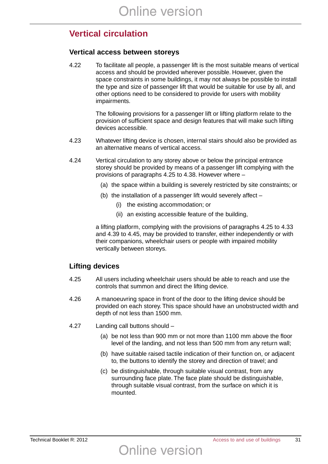## **Vertical circulation**

#### **Vertical access between storeys**

4.22 To facilitate all people, a passenger lift is the most suitable means of vertical access and should be provided wherever possible. However, given the space constraints in some buildings, it may not always be possible to install the type and size of passenger lift that would be suitable for use by all, and other options need to be considered to provide for users with mobility impairments.

> The following provisions for a passenger lift or lifting platform relate to the provision of sufficient space and design features that will make such lifting devices accessible.

- 4.23 Whatever lifting device is chosen, internal stairs should also be provided as an alternative means of vertical access.
- 4.24 Vertical circulation to any storey above or below the principal entrance storey should be provided by means of a passenger lift complying with the provisions of paragraphs 4.25 to 4.38. However where –
	- (a) the space within a building is severely restricted by site constraints; or
	- (b) the installation of a passenger lift would severely affect
		- (i) the existing accommodation; or
		- (ii) an existing accessible feature of the building,

a lifting platform, complying with the provisions of paragraphs 4.25 to 4.33 and 4.39 to 4.45, may be provided to transfer, either independently or with their companions, wheelchair users or people with impaired mobility vertically between storeys.

#### **Lifting devices**

- 4.25 All users including wheelchair users should be able to reach and use the controls that summon and direct the lifting device.
- 4.26 A manoeuvring space in front of the door to the lifting device should be provided on each storey. This space should have an unobstructed width and depth of not less than 1500 mm.
- 4.27 Landing call buttons should
	- (a) be not less than 900 mm or not more than 1100 mm above the floor level of the landing, and not less than 500 mm from any return wall;
	- (b) have suitable raised tactile indication of their function on, or adjacent to, the buttons to identify the storey and direction of travel; and
	- (c) be distinguishable, through suitable visual contrast, from any surrounding face plate. The face plate should be distinguishable, through suitable visual contrast, from the surface on which it is mounted.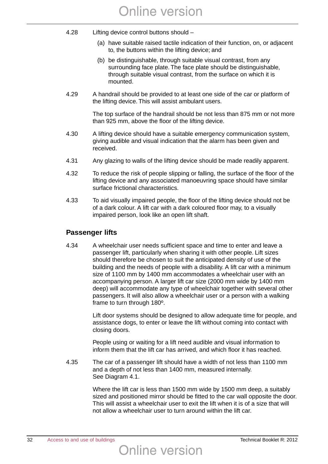- 4.28 Lifting device control buttons should
	- (a) have suitable raised tactile indication of their function, on, or adjacent to, the buttons within the lifting device; and
	- (b) be distinguishable, through suitable visual contrast, from any surrounding face plate. The face plate should be distinguishable, through suitable visual contrast, from the surface on which it is mounted.
- 4.29 A handrail should be provided to at least one side of the car or platform of the lifting device. This will assist ambulant users.

The top surface of the handrail should be not less than 875 mm or not more than 925 mm, above the floor of the lifting device.

- 4.30 A lifting device should have a suitable emergency communication system, giving audible and visual indication that the alarm has been given and received.
- 4.31 Any glazing to walls of the lifting device should be made readily apparent.
- 4.32 To reduce the risk of people slipping or falling, the surface of the floor of the lifting device and any associated manoeuvring space should have similar surface frictional characteristics.
- 4.33 To aid visually impaired people, the floor of the lifting device should not be of a dark colour. A lift car with a dark coloured floor may, to a visually impaired person, look like an open lift shaft.

#### **Passenger lifts**

4.34 A wheelchair user needs sufficient space and time to enter and leave a passenger lift, particularly when sharing it with other people. Lift sizes should therefore be chosen to suit the anticipated density of use of the building and the needs of people with a disability. A lift car with a minimum size of 1100 mm by 1400 mm accommodates a wheelchair user with an accompanying person. A larger lift car size (2000 mm wide by 1400 mm deep) will accommodate any type of wheelchair together with several other passengers. It will also allow a wheelchair user or a person with a walking frame to turn through 180º.

> Lift door systems should be designed to allow adequate time for people, and assistance dogs, to enter or leave the lift without coming into contact with closing doors.

People using or waiting for a lift need audible and visual information to inform them that the lift car has arrived, and which floor it has reached.

4.35 The car of a passenger lift should have a width of not less than 1100 mm and a depth of not less than 1400 mm, measured internally. See Diagram 4.1.

> Where the lift car is less than 1500 mm wide by 1500 mm deep, a suitably sized and positioned mirror should be fitted to the car wall opposite the door. This will assist a wheelchair user to exit the lift when it is of a size that will not allow a wheelchair user to turn around within the lift car.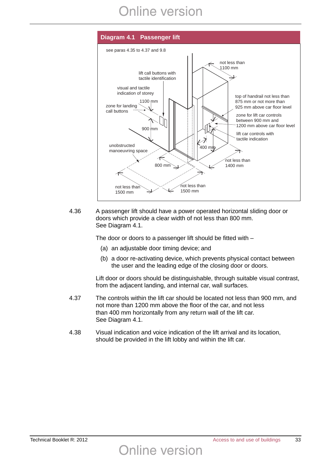

4.36 A passenger lift should have a power operated horizontal sliding door or doors which provide a clear width of not less than 800 mm. See Diagram 4.1.

The door or doors to a passenger lift should be fitted with –

- (a) an adjustable door timing device; and
- (b) a door re-activating device, which prevents physical contact between the user and the leading edge of the closing door or doors.

Lift door or doors should be distinguishable, through suitable visual contrast, from the adjacent landing, and internal car, wall surfaces.

- 4.37 The controls within the lift car should be located not less than 900 mm, and not more than 1200 mm above the floor of the car, and not less than 400 mm horizontally from any return wall of the lift car. See Diagram 4.1.
- 4.38 Visual indication and voice indication of the lift arrival and its location, should be provided in the lift lobby and within the lift car.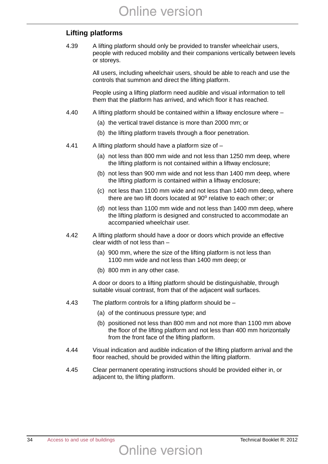#### **Lifting platforms**

4.39 A lifting platform should only be provided to transfer wheelchair users, people with reduced mobility and their companions vertically between levels or storeys.

> All users, including wheelchair users, should be able to reach and use the controls that summon and direct the lifting platform.

People using a lifting platform need audible and visual information to tell them that the platform has arrived, and which floor it has reached.

- 4.40 A lifting platform should be contained within a liftway enclosure where
	- (a) the vertical travel distance is more than 2000 mm; or
	- (b) the lifting platform travels through a floor penetration.
- 4.41 A lifting platform should have a platform size of
	- (a) not less than 800 mm wide and not less than 1250 mm deep, where the lifting platform is not contained within a liftway enclosure;
	- (b) not less than 900 mm wide and not less than 1400 mm deep, where the lifting platform is contained within a liftway enclosure;
	- (c) not less than 1100 mm wide and not less than 1400 mm deep, where there are two lift doors located at  $90^\circ$  relative to each other; or
	- (d) not less than 1100 mm wide and not less than 1400 mm deep, where the lifting platform is designed and constructed to accommodate an accompanied wheelchair user.
- 4.42 A lifting platform should have a door or doors which provide an effective clear width of not less than –
	- (a) 900 mm, where the size of the lifting platform is not less than 1100 mm wide and not less than 1400 mm deep; or
	- (b) 800 mm in any other case.

A door or doors to a lifting platform should be distinguishable, through suitable visual contrast, from that of the adjacent wall surfaces.

- 4.43 The platform controls for a lifting platform should be
	- (a) of the continuous pressure type; and
	- (b) positioned not less than 800 mm and not more than 1100 mm above the floor of the lifting platform and not less than 400 mm horizontally from the front face of the lifting platform.
- 4.44 Visual indication and audible indication of the lifting platform arrival and the floor reached, should be provided within the lifting platform.
- 4.45 Clear permanent operating instructions should be provided either in, or adjacent to, the lifting platform.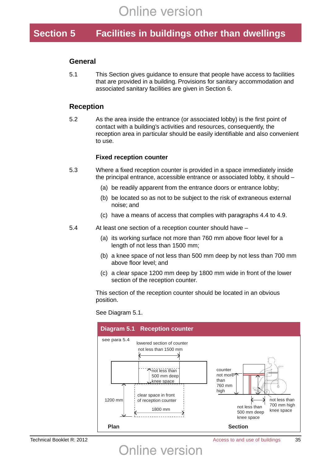## **Section 5 Facilities in buildings other than dwellings**

#### **General**

5.1 This Section gives guidance to ensure that people have access to facilities that are provided in a building. Provisions for sanitary accommodation and associated sanitary facilities are given in Section 6.

#### **Reception**

5.2 As the area inside the entrance (or associated lobby) is the first point of contact with a building's activities and resources, consequently, the reception area in particular should be easily identifiable and also convenient to use.

#### **Fixed reception counter**

- 5.3 Where a fixed reception counter is provided in a space immediately inside the principal entrance, accessible entrance or associated lobby, it should –
	- (a) be readily apparent from the entrance doors or entrance lobby;
	- (b) be located so as not to be subject to the risk of extraneous external noise; and
	- (c) have a means of access that complies with paragraphs 4.4 to 4.9.
- 5.4 At least one section of a reception counter should have
	- (a) its working surface not more than 760 mm above floor level for a length of not less than 1500 mm;
	- (b) a knee space of not less than 500 mm deep by not less than 700 mm above floor level; and
	- (c) a clear space 1200 mm deep by 1800 mm wide in front of the lower section of the reception counter.

This section of the reception counter should be located in an obvious position.

See Diagram 5.1.

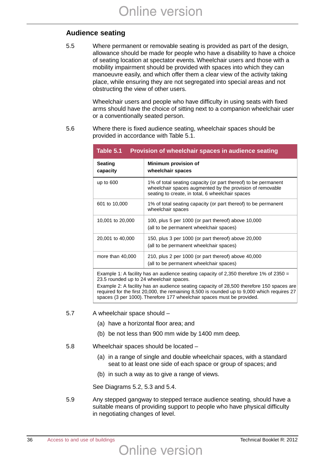### **Audience seating**

5.5 Where permanent or removable seating is provided as part of the design, allowance should be made for people who have a disability to have a choice of seating location at spectator events. Wheelchair users and those with a mobility impairment should be provided with spaces into which they can manoeuvre easily, and which offer them a clear view of the activity taking place, while ensuring they are not segregated into special areas and not obstructing the view of other users.

> Wheelchair users and people who have difficulty in using seats with fixed arms should have the choice of sitting next to a companion wheelchair user or a conventionally seated person.

5.6 Where there is fixed audience seating, wheelchair spaces should be provided in accordance with Table 5.1.

| Table 5.1<br>Provision of wheelchair spaces in audience seating |                                                                                                                                                                                 |  |
|-----------------------------------------------------------------|---------------------------------------------------------------------------------------------------------------------------------------------------------------------------------|--|
| <b>Seating</b><br>capacity                                      | Minimum provision of<br>wheelchair spaces                                                                                                                                       |  |
| up to $600$                                                     | 1% of total seating capacity (or part thereof) to be permanent<br>wheelchair spaces augmented by the provision of removable<br>seating to create, in total, 6 wheelchair spaces |  |
| 601 to 10,000                                                   | 1% of total seating capacity (or part thereof) to be permanent<br>wheelchair spaces                                                                                             |  |
| 10,001 to 20,000                                                | 100, plus 5 per 1000 (or part thereof) above 10,000<br>(all to be permanent wheelchair spaces)                                                                                  |  |
| 20,001 to 40,000                                                | 150, plus 3 per 1000 (or part thereof) above 20,000<br>(all to be permanent wheelchair spaces)                                                                                  |  |
| more than $40,000$                                              | 210, plus 2 per 1000 (or part thereof) above 40,000<br>(all to be permanent wheelchair spaces)                                                                                  |  |
|                                                                 |                                                                                                                                                                                 |  |

Example 1: A facility has an audience seating capacity of 2,350 therefore 1% of 2350 = 23.5 rounded up to 24 wheelchair spaces.

Example 2: A facility has an audience seating capacity of 28,500 therefore 150 spaces are required for the first 20,000, the remaining 8,500 is rounded up to 9,000 which requires 27 spaces (3 per 1000). Therefore 177 wheelchair spaces must be provided.

- 5.7 A wheelchair space should
	- (a) have a horizontal floor area; and
	- (b) be not less than 900 mm wide by 1400 mm deep.
- 5.8 Wheelchair spaces should be located
	- (a) in a range of single and double wheelchair spaces, with a standard seat to at least one side of each space or group of spaces; and
	- (b) in such a way as to give a range of views.

See Diagrams 5.2, 5.3 and 5.4.

5.9 Any stepped gangway to stepped terrace audience seating, should have a suitable means of providing support to people who have physical difficulty in negotiating changes of level.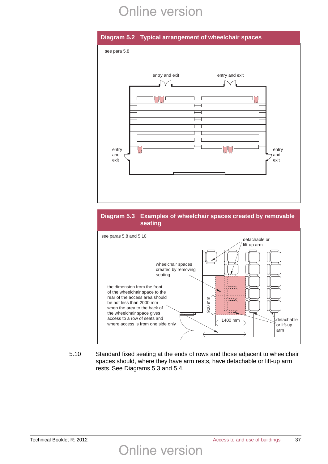





5.10 Standard fixed seating at the ends of rows and those adjacent to wheelchair spaces should, where they have arm rests, have detachable or lift-up arm rests. See Diagrams 5.3 and 5.4.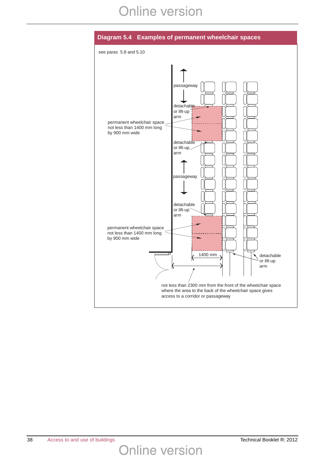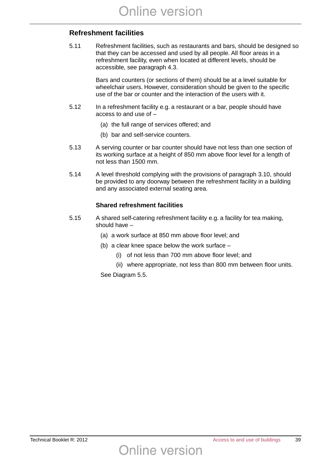### **Refreshment facilities**

5.11 Refreshment facilities, such as restaurants and bars, should be designed so that they can be accessed and used by all people. All floor areas in a refreshment facility, even when located at different levels, should be accessible, see paragraph 4.3.

> Bars and counters (or sections of them) should be at a level suitable for wheelchair users. However, consideration should be given to the specific use of the bar or counter and the interaction of the users with it.

- 5.12 In a refreshment facility e.g. a restaurant or a bar, people should have access to and use of –
	- (a) the full range of services offered; and
	- (b) bar and self-service counters.
- 5.13 A serving counter or bar counter should have not less than one section of its working surface at a height of 850 mm above floor level for a length of not less than 1500 mm.
- 5.14 A level threshold complying with the provisions of paragraph 3.10, should be provided to any doorway between the refreshment facility in a building and any associated external seating area.

### **Shared refreshment facilities**

- 5.15 A shared self-catering refreshment facility e.g. a facility for tea making, should have –
	- (a) a work surface at 850 mm above floor level; and
	- (b) a clear knee space below the work surface –

Online version

- (i) of not less than 700 mm above floor level; and
- (ii) where appropriate, not less than 800 mm between floor units.

See Diagram 5.5.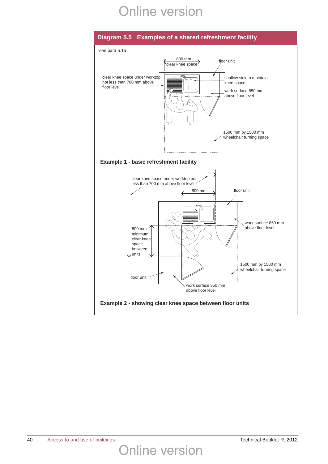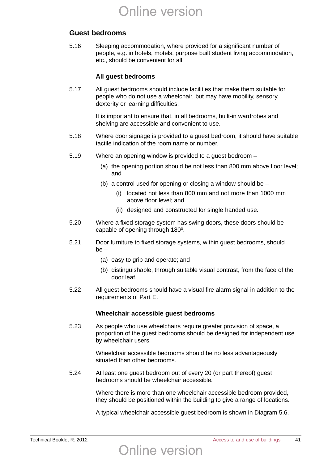### **Guest bedrooms**

5.16 Sleeping accommodation, where provided for a significant number of people, e.g. in hotels, motels, purpose built student living accommodation, etc., should be convenient for all.

#### **All guest bedrooms**

5.17 All guest bedrooms should include facilities that make them suitable for people who do not use a wheelchair, but may have mobility, sensory, dexterity or learning difficulties.

> It is important to ensure that, in all bedrooms, built-in wardrobes and shelving are accessible and convenient to use.

- 5.18 Where door signage is provided to a guest bedroom, it should have suitable tactile indication of the room name or number.
- 5.19 Where an opening window is provided to a guest bedroom
	- (a) the opening portion should be not less than 800 mm above floor level; and
	- (b) a control used for opening or closing a window should be
		- (i) located not less than 800 mm and not more than 1000 mm above floor level; and
		- (ii) designed and constructed for single handed use.
- 5.20 Where a fixed storage system has swing doors, these doors should be capable of opening through 180º.
- 5.21 Door furniture to fixed storage systems, within guest bedrooms, should be –
	- (a) easy to grip and operate; and
	- (b) distinguishable, through suitable visual contrast, from the face of the door leaf.
- 5.22 All guest bedrooms should have a visual fire alarm signal in addition to the requirements of Part E.

#### **Wheelchair accessible guest bedrooms**

5.23 As people who use wheelchairs require greater provision of space, a proportion of the guest bedrooms should be designed for independent use by wheelchair users.

> Wheelchair accessible bedrooms should be no less advantageously situated than other bedrooms.

5.24 At least one guest bedroom out of every 20 (or part thereof) guest bedrooms should be wheelchair accessible.

> Where there is more than one wheelchair accessible bedroom provided, they should be positioned within the building to give a range of locations.

> A typical wheelchair accessible guest bedroom is shown in Diagram 5.6.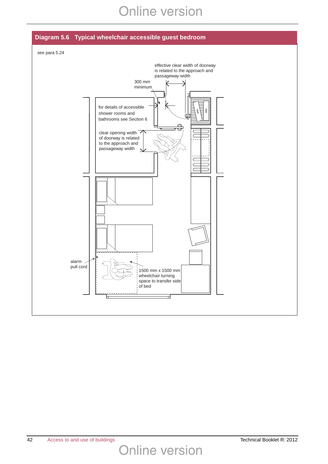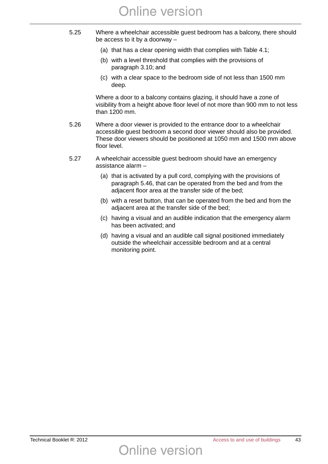- 5.25 Where a wheelchair accessible guest bedroom has a balcony, there should be access to it by a doorway –
	- (a) that has a clear opening width that complies with Table 4.1;
	- (b) with a level threshold that complies with the provisions of paragraph 3.10; and
	- (c) with a clear space to the bedroom side of not less than 1500 mm deep.

Where a door to a balcony contains glazing, it should have a zone of visibility from a height above floor level of not more than 900 mm to not less than 1200 mm.

- 5.26 Where a door viewer is provided to the entrance door to a wheelchair accessible guest bedroom a second door viewer should also be provided. These door viewers should be positioned at 1050 mm and 1500 mm above floor level.
- 5.27 A wheelchair accessible guest bedroom should have an emergency assistance alarm –

- (a) that is activated by a pull cord, complying with the provisions of paragraph 5.46, that can be operated from the bed and from the adjacent floor area at the transfer side of the bed;
- (b) with a reset button, that can be operated from the bed and from the adjacent area at the transfer side of the bed;
- (c) having a visual and an audible indication that the emergency alarm has been activated; and
- (d) having a visual and an audible call signal positioned immediately outside the wheelchair accessible bedroom and at a central monitoring point.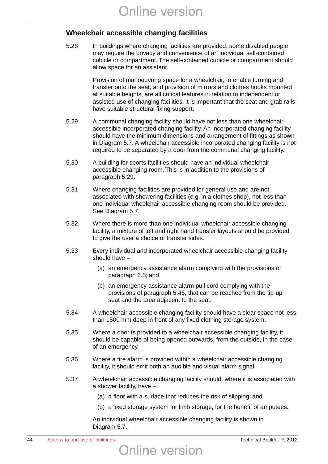### **Wheelchair accessible changing facilities**

5.28 In buildings where changing facilities are provided, some disabled people may require the privacy and convenience of an individual self-contained cubicle or compartment. The self-contained cubicle or compartment should allow space for an assistant.

> Provision of manoeuvring space for a wheelchair, to enable turning and transfer onto the seat, and provision of mirrors and clothes hooks mounted at suitable heights, are all critical features in relation to independent or assisted use of changing facilities. It is important that the seat and grab rails have suitable structural fixing support.

- 5.29 A communal changing facility should have not less than one wheelchair accessible incorporated changing facility. An incorporated changing facility should have the minimum dimensions and arrangement of fittings as shown in Diagram 5.7. A wheelchair accessible incorporated changing facility is not required to be separated by a door from the communal changing facility.
- 5.30 A building for sports facilities should have an individual wheelchair accessible changing room. This is in addition to the provisions of paragraph 5.29.
- 5.31 Where changing facilities are provided for general use and are not associated with showering facilities (e.g. in a clothes shop), not less than one individual wheelchair accessible changing room should be provided. See Diagram 5.7.
- 5.32 Where there is more than one individual wheelchair accessible changing facility, a mixture of left and right hand transfer layouts should be provided to give the user a choice of transfer sides.
- 5.33 Every individual and incorporated wheelchair accessible changing facility should have –
	- (a) an emergency assistance alarm complying with the provisions of paragraph 6.5; and
	- (b) an emergency assistance alarm pull cord complying with the provisions of paragraph 5.46, that can be reached from the tip-up seat and the area adjacent to the seat.
- 5.34 A wheelchair accessible changing facility should have a clear space not less than 1500 mm deep in front of any fixed clothing storage system.
- 5.35 Where a door is provided to a wheelchair accessible changing facility, it should be capable of being opened outwards, from the outside, in the case of an emergency.
- 5.36 Where a fire alarm is provided within a wheelchair accessible changing facility, it should emit both an audible and visual alarm signal.
- 5.37 A wheelchair accessible changing facility should, where it is associated with a shower facility, have –
	- (a) a floor with a surface that reduces the risk of slipping; and
	- (b) a fixed storage system for limb storage, for the benefit of amputees.

An individual wheelchair accessible changing facility is shown in Diagram 5.7.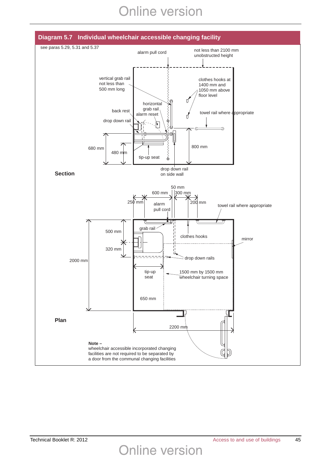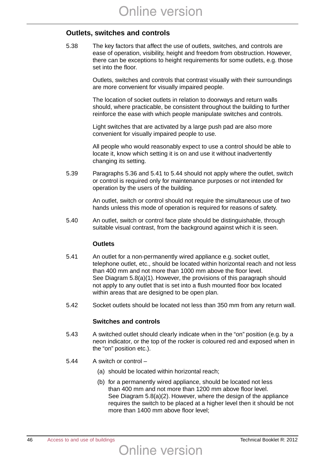### **Outlets, switches and controls**

5.38 The key factors that affect the use of outlets, switches, and controls are ease of operation, visibility, height and freedom from obstruction. However, there can be exceptions to height requirements for some outlets, e.g. those set into the floor.

> Outlets, switches and controls that contrast visually with their surroundings are more convenient for visually impaired people.

> The location of socket outlets in relation to doorways and return walls should, where practicable, be consistent throughout the building to further reinforce the ease with which people manipulate switches and controls.

Light switches that are activated by a large push pad are also more convenient for visually impaired people to use.

All people who would reasonably expect to use a control should be able to locate it, know which setting it is on and use it without inadvertently changing its setting.

5.39 Paragraphs 5.36 and 5.41 to 5.44 should not apply where the outlet, switch or control is required only for maintenance purposes or not intended for operation by the users of the building.

> An outlet, switch or control should not require the simultaneous use of two hands unless this mode of operation is required for reasons of safety.

5.40 An outlet, switch or control face plate should be distinguishable, through suitable visual contrast, from the background against which it is seen.

#### **Outlets**

- 5.41 An outlet for a non-permanently wired appliance e.g. socket outlet, telephone outlet, etc., should be located within horizontal reach and not less than 400 mm and not more than 1000 mm above the floor level. See Diagram 5.8(a)(1). However, the provisions of this paragraph should not apply to any outlet that is set into a flush mounted floor box located within areas that are designed to be open plan.
- 5.42 Socket outlets should be located not less than 350 mm from any return wall.

#### **Switches and controls**

- 5.43 A switched outlet should clearly indicate when in the "on" position (e.g. by a neon indicator, or the top of the rocker is coloured red and exposed when in the "on" position etc.).
- 5.44 A switch or control
	- (a) should be located within horizontal reach;
	- (b) for a permanently wired appliance, should be located not less than 400 mm and not more than 1200 mm above floor level. See Diagram 5.8(a)(2). However, where the design of the appliance requires the switch to be placed at a higher level then it should be not more than 1400 mm above floor level;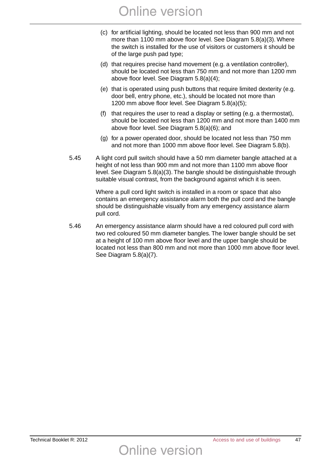- (c) for artificial lighting, should be located not less than 900 mm and not more than 1100 mm above floor level. See Diagram 5.8(a)(3). Where the switch is installed for the use of visitors or customers it should be of the large push pad type;
- (d) that requires precise hand movement (e.g. a ventilation controller), should be located not less than 750 mm and not more than 1200 mm above floor level. See Diagram 5.8(a)(4);
- (e) that is operated using push buttons that require limited dexterity (e.g. door bell, entry phone, etc.), should be located not more than 1200 mm above floor level. See Diagram 5.8(a)(5);
- (f) that requires the user to read a display or setting (e.g. a thermostat), should be located not less than 1200 mm and not more than 1400 mm above floor level. See Diagram 5.8(a)(6); and
- (g) for a power operated door, should be located not less than 750 mm and not more than 1000 mm above floor level. See Diagram 5.8(b).
- 5.45 A light cord pull switch should have a 50 mm diameter bangle attached at a height of not less than 900 mm and not more than 1100 mm above floor level. See Diagram 5.8(a)(3). The bangle should be distinguishable through suitable visual contrast, from the background against which it is seen.

Where a pull cord light switch is installed in a room or space that also contains an emergency assistance alarm both the pull cord and the bangle should be distinguishable visually from any emergency assistance alarm pull cord.

5.46 An emergency assistance alarm should have a red coloured pull cord with two red coloured 50 mm diameter bangles. The lower bangle should be set at a height of 100 mm above floor level and the upper bangle should be located not less than 800 mm and not more than 1000 mm above floor level. See Diagram 5.8(a)(7).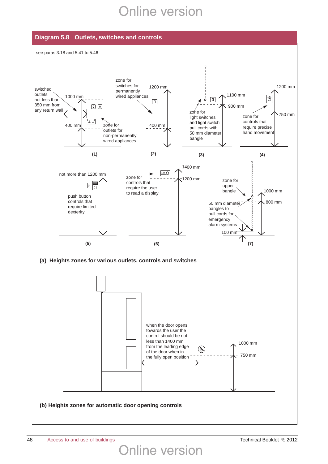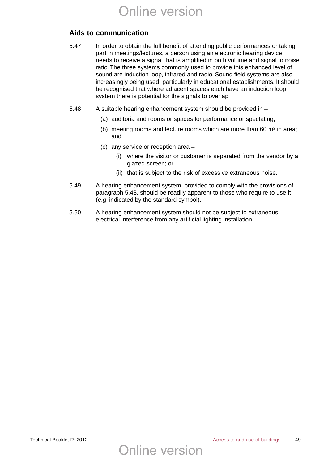### **Aids to communication**

- 5.47 In order to obtain the full benefit of attending public performances or taking part in meetings/lectures, a person using an electronic hearing device needs to receive a signal that is amplified in both volume and signal to noise ratio. The three systems commonly used to provide this enhanced level of sound are induction loop, infrared and radio. Sound field systems are also increasingly being used, particularly in educational establishments. It should be recognised that where adjacent spaces each have an induction loop system there is potential for the signals to overlap.
- 5.48 A suitable hearing enhancement system should be provided in
	- (a) auditoria and rooms or spaces for performance or spectating;
	- (b) meeting rooms and lecture rooms which are more than 60 m² in area; and
	- (c) any service or reception area
		- (i) where the visitor or customer is separated from the vendor by a glazed screen; or
		- (ii) that is subject to the risk of excessive extraneous noise.
- 5.49 A hearing enhancement system, provided to comply with the provisions of paragraph 5.48, should be readily apparent to those who require to use it (e.g. indicated by the standard symbol).
- 5.50 A hearing enhancement system should not be subject to extraneous electrical interference from any artificial lighting installation.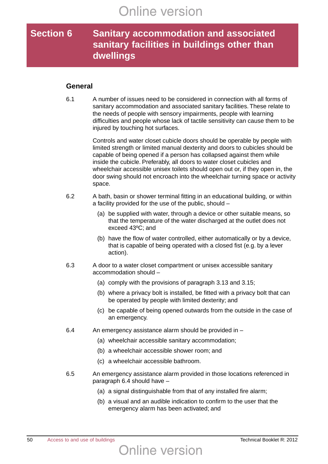### **Section 6 Sanitary accommodation and associated sanitary facilities in buildings other than dwellings**

### **General**

6.1 A number of issues need to be considered in connection with all forms of sanitary accommodation and associated sanitary facilities. These relate to the needs of people with sensory impairments, people with learning difficulties and people whose lack of tactile sensitivity can cause them to be injured by touching hot surfaces.

> Controls and water closet cubicle doors should be operable by people with limited strength or limited manual dexterity and doors to cubicles should be capable of being opened if a person has collapsed against them while inside the cubicle. Preferably, all doors to water closet cubicles and wheelchair accessible unisex toilets should open out or, if they open in, the door swing should not encroach into the wheelchair turning space or activity space.

- 6.2 A bath, basin or shower terminal fitting in an educational building, or within a facility provided for the use of the public, should –
	- (a) be supplied with water, through a device or other suitable means, so that the temperature of the water discharged at the outlet does not exceed 43ºC; and
	- (b) have the flow of water controlled, either automatically or by a device, that is capable of being operated with a closed fist (e.g. by a lever action).
- 6.3 A door to a water closet compartment or unisex accessible sanitary accommodation should –
	- (a) comply with the provisions of paragraph 3.13 and 3.15;
	- (b) where a privacy bolt is installed, be fitted with a privacy bolt that can be operated by people with limited dexterity; and
	- (c) be capable of being opened outwards from the outside in the case of an emergency.
- 6.4 An emergency assistance alarm should be provided in
	- (a) wheelchair accessible sanitary accommodation;
	- (b) a wheelchair accessible shower room; and
	- (c) a wheelchair accessible bathroom.
- 6.5 An emergency assistance alarm provided in those locations referenced in paragraph 6.4 should have –
	- (a) a signal distinguishable from that of any installed fire alarm;
	- (b) a visual and an audible indication to confirm to the user that the emergency alarm has been activated; and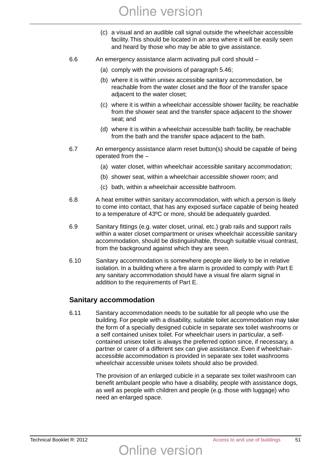- (c) a visual and an audible call signal outside the wheelchair accessible facility. This should be located in an area where it will be easily seen and heard by those who may be able to give assistance.
- 6.6 An emergency assistance alarm activating pull cord should
	- (a) comply with the provisions of paragraph 5.46;
	- (b) where it is within unisex accessible sanitary accommodation, be reachable from the water closet and the floor of the transfer space adjacent to the water closet;
	- (c) where it is within a wheelchair accessible shower facility, be reachable from the shower seat and the transfer space adjacent to the shower seat; and
	- (d) where it is within a wheelchair accessible bath facility, be reachable from the bath and the transfer space adjacent to the bath.
- 6.7 An emergency assistance alarm reset button(s) should be capable of being operated from the –
	- (a) water closet, within wheelchair accessible sanitary accommodation;
	- (b) shower seat, within a wheelchair accessible shower room; and
	- (c) bath, within a wheelchair accessible bathroom.
- 6.8 A heat emitter within sanitary accommodation, with which a person is likely to come into contact, that has any exposed surface capable of being heated to a temperature of 43ºC or more, should be adequately guarded.
- 6.9 Sanitary fittings (e.g. water closet, urinal, etc.) grab rails and support rails within a water closet compartment or unisex wheelchair accessible sanitary accommodation, should be distinguishable, through suitable visual contrast, from the background against which they are seen.
- 6.10 Sanitary accommodation is somewhere people are likely to be in relative isolation. In a building where a fire alarm is provided to comply with Part E any sanitary accommodation should have a visual fire alarm signal in addition to the requirements of Part E.

### **Sanitary accommodation**

6.11 Sanitary accommodation needs to be suitable for all people who use the building. For people with a disability, suitable toilet accommodation may take the form of a specially designed cubicle in separate sex toilet washrooms or a self contained unisex toilet. For wheelchair users in particular, a selfcontained unisex toilet is always the preferred option since, if necessary, a partner or carer of a different sex can give assistance. Even if wheelchairaccessible accommodation is provided in separate sex toilet washrooms wheelchair accessible unisex toilets should also be provided.

> The provision of an enlarged cubicle in a separate sex toilet washroom can benefit ambulant people who have a disability, people with assistance dogs, as well as people with children and people (e.g. those with luggage) who need an enlarged space.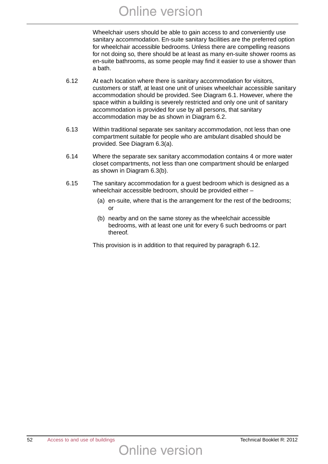Wheelchair users should be able to gain access to and conveniently use sanitary accommodation. En-suite sanitary facilities are the preferred option for wheelchair accessible bedrooms. Unless there are compelling reasons for not doing so, there should be at least as many en-suite shower rooms as en-suite bathrooms, as some people may find it easier to use a shower than a bath.

- 6.12 At each location where there is sanitary accommodation for visitors, customers or staff, at least one unit of unisex wheelchair accessible sanitary accommodation should be provided. See Diagram 6.1. However, where the space within a building is severely restricted and only one unit of sanitary accommodation is provided for use by all persons, that sanitary accommodation may be as shown in Diagram 6.2.
- 6.13 Within traditional separate sex sanitary accommodation, not less than one compartment suitable for people who are ambulant disabled should be provided. See Diagram 6.3(a).
- 6.14 Where the separate sex sanitary accommodation contains 4 or more water closet compartments, not less than one compartment should be enlarged as shown in Diagram 6.3(b).
- 6.15 The sanitary accommodation for a guest bedroom which is designed as a wheelchair accessible bedroom, should be provided either –
	- (a) en-suite, where that is the arrangement for the rest of the bedrooms; or
	- (b) nearby and on the same storey as the wheelchair accessible bedrooms, with at least one unit for every 6 such bedrooms or part thereof.

This provision is in addition to that required by paragraph 6.12.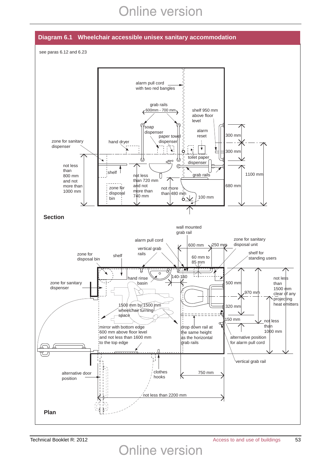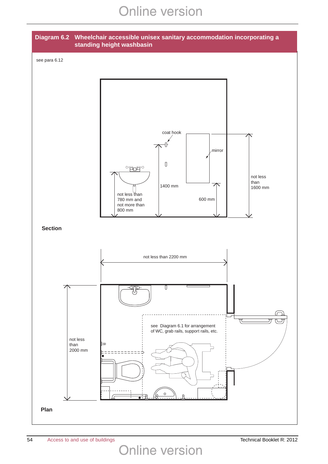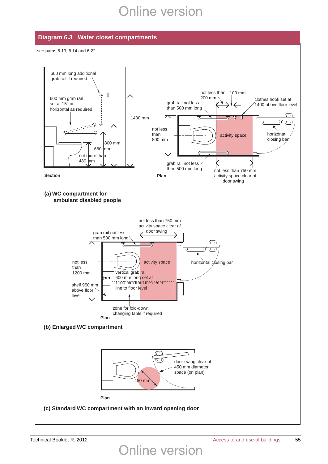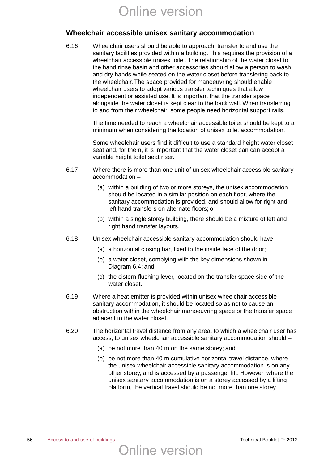### **Wheelchair accessible unisex sanitary accommodation**

6.16 Wheelchair users should be able to approach, transfer to and use the sanitary facilities provided within a building. This requires the provision of a wheelchair accessible unisex toilet. The relationship of the water closet to the hand rinse basin and other accessories should allow a person to wash and dry hands while seated on the water closet before transfering back to the wheelchair. The space provided for manoeuvring should enable wheelchair users to adopt various transfer techniques that allow independent or assisted use. It is important that the transfer space alongside the water closet is kept clear to the back wall. When transferring to and from their wheelchair, some people need horizontal support rails.

> The time needed to reach a wheelchair accessible toilet should be kept to a minimum when considering the location of unisex toilet accommodation.

> Some wheelchair users find it difficult to use a standard height water closet seat and, for them, it is important that the water closet pan can accept a variable height toilet seat riser.

- 6.17 Where there is more than one unit of unisex wheelchair accessible sanitary accommodation –
	- (a) within a building of two or more storeys, the unisex accommodation should be located in a similar position on each floor, where the sanitary accommodation is provided, and should allow for right and left hand transfers on alternate floors; or
	- (b) within a single storey building, there should be a mixture of left and right hand transfer layouts.
- 6.18 Unisex wheelchair accessible sanitary accommodation should have
	- (a) a horizontal closing bar, fixed to the inside face of the door;
	- (b) a water closet, complying with the key dimensions shown in Diagram 6.4; and
	- (c) the cistern flushing lever, located on the transfer space side of the water closet.
- 6.19 Where a heat emitter is provided within unisex wheelchair accessible sanitary accommodation, it should be located so as not to cause an obstruction within the wheelchair manoeuvring space or the transfer space adjacent to the water closet.
- 6.20 The horizontal travel distance from any area, to which a wheelchair user has access, to unisex wheelchair accessible sanitary accommodation should –
	- (a) be not more than 40 m on the same storey; and
	- (b) be not more than 40 m cumulative horizontal travel distance, where the unisex wheelchair accessible sanitary accommodation is on any other storey, and is accessed by a passenger lift. However, where the unisex sanitary accommodation is on a storey accessed by a lifting platform, the vertical travel should be not more than one storey.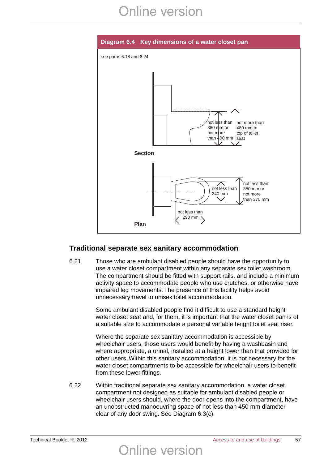

### **Traditional separate sex sanitary accommodation**

6.21 Those who are ambulant disabled people should have the opportunity to use a water closet compartment within any separate sex toilet washroom. The compartment should be fitted with support rails, and include a minimum activity space to accommodate people who use crutches, or otherwise have impaired leg movements. The presence of this facility helps avoid unnecessary travel to unisex toilet accommodation.

> Some ambulant disabled people find it difficult to use a standard height water closet seat and, for them, it is important that the water closet pan is of a suitable size to accommodate a personal variable height toilet seat riser.

> Where the separate sex sanitary accommodation is accessible by wheelchair users, those users would benefit by having a washbasin and where appropriate, a urinal, installed at a height lower than that provided for other users. Within this sanitary accommodation, it is not necessary for the water closet compartments to be accessible for wheelchair users to benefit from these lower fittings.

6.22 Within traditional separate sex sanitary accommodation, a water closet compartment not designed as suitable for ambulant disabled people or wheelchair users should, where the door opens into the compartment, have an unobstructed manoeuvring space of not less than 450 mm diameter clear of any door swing. See Diagram 6.3(c).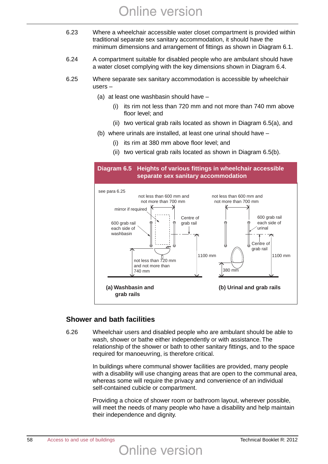- 6.23 Where a wheelchair accessible water closet compartment is provided within traditional separate sex sanitary accommodation, it should have the minimum dimensions and arrangement of fittings as shown in Diagram 6.1.
- 6.24 A compartment suitable for disabled people who are ambulant should have a water closet complying with the key dimensions shown in Diagram 6.4.
- 6.25 Where separate sex sanitary accommodation is accessible by wheelchair users –
	- (a) at least one washbasin should have
		- (i) its rim not less than 720 mm and not more than 740 mm above floor level; and
		- (ii) two vertical grab rails located as shown in Diagram 6.5(a), and
	- (b) where urinals are installed, at least one urinal should have
		- (i) its rim at 380 mm above floor level; and
		- (ii) two vertical grab rails located as shown in Diagram 6.5(b).



### **Shower and bath facilities**

6.26 Wheelchair users and disabled people who are ambulant should be able to wash, shower or bathe either independently or with assistance. The relationship of the shower or bath to other sanitary fittings, and to the space required for manoeuvring, is therefore critical.

**Online version** 

In buildings where communal shower facilities are provided, many people with a disability will use changing areas that are open to the communal area, whereas some will require the privacy and convenience of an individual self-contained cubicle or compartment.

Providing a choice of shower room or bathroom layout, wherever possible, will meet the needs of many people who have a disability and help maintain their independence and dignity.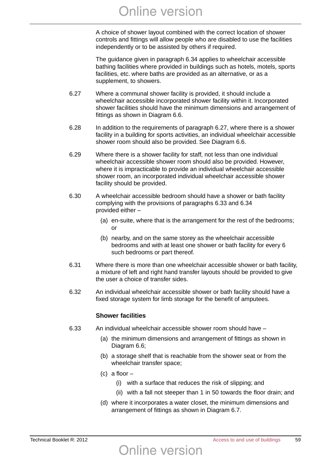A choice of shower layout combined with the correct location of shower controls and fittings will allow people who are disabled to use the facilities independently or to be assisted by others if required.

The guidance given in paragraph 6.34 applies to wheelchair accessible bathing facilities where provided in buildings such as hotels, motels, sports facilities, etc. where baths are provided as an alternative, or as a supplement, to showers.

- 6.27 Where a communal shower facility is provided, it should include a wheelchair accessible incorporated shower facility within it. Incorporated shower facilities should have the minimum dimensions and arrangement of fittings as shown in Diagram 6.6.
- 6.28 In addition to the requirements of paragraph 6.27, where there is a shower facility in a building for sports activities, an individual wheelchair accessible shower room should also be provided. See Diagram 6.6.
- 6.29 Where there is a shower facility for staff, not less than one individual wheelchair accessible shower room should also be provided. However, where it is impracticable to provide an individual wheelchair accessible shower room, an incorporated individual wheelchair accessible shower facility should be provided.
- 6.30 A wheelchair accessible bedroom should have a shower or bath facility complying with the provisions of paragraphs 6.33 and 6.34 provided either –
	- (a) en-suite, where that is the arrangement for the rest of the bedrooms; or
	- (b) nearby, and on the same storey as the wheelchair accessible bedrooms and with at least one shower or bath facility for every 6 such bedrooms or part thereof.
- 6.31 Where there is more than one wheelchair accessible shower or bath facility, a mixture of left and right hand transfer layouts should be provided to give the user a choice of transfer sides.
- 6.32 An individual wheelchair accessible shower or bath facility should have a fixed storage system for limb storage for the benefit of amputees.

### **Shower facilities**

- 6.33 An individual wheelchair accessible shower room should have
	- (a) the minimum dimensions and arrangement of fittings as shown in Diagram 6.6;
	- (b) a storage shelf that is reachable from the shower seat or from the wheelchair transfer space;
	- (c) a floor
		- (i) with a surface that reduces the risk of slipping; and
		- (ii) with a fall not steeper than 1 in 50 towards the floor drain; and
	- (d) where it incorporates a water closet, the minimum dimensions and arrangement of fittings as shown in Diagram 6.7.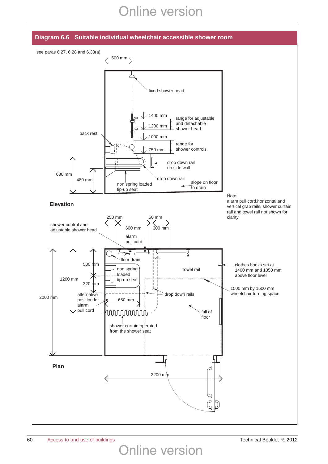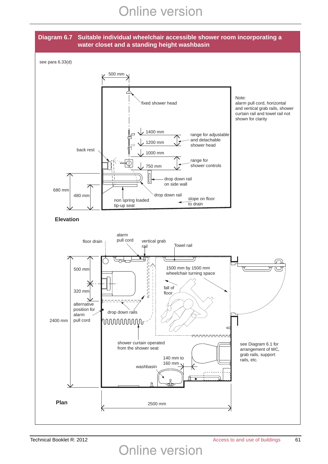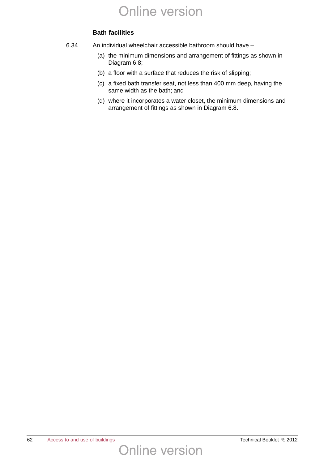### **Bath facilities**

- 6.34 An individual wheelchair accessible bathroom should have
	- (a) the minimum dimensions and arrangement of fittings as shown in Diagram 6.8;
	- (b) a floor with a surface that reduces the risk of slipping;
	- (c) a fixed bath transfer seat, not less than 400 mm deep, having the same width as the bath; and
	- (d) where it incorporates a water closet, the minimum dimensions and arrangement of fittings as shown in Diagram 6.8.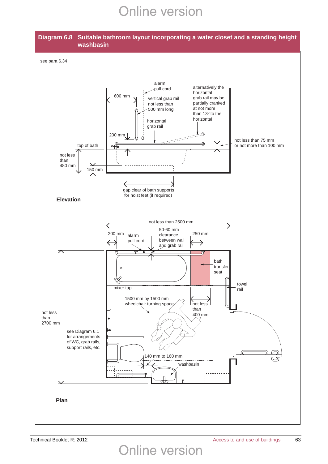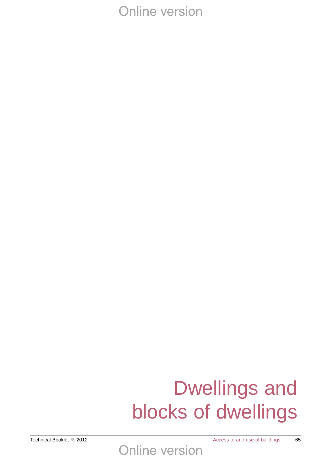# Dwellings and blocks of dwellings

Technical Booklet R: 2012 **Access to and use of buildings** 65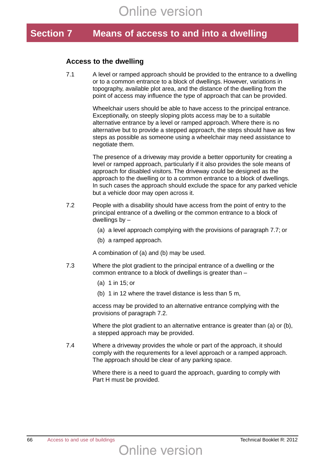### **Section 7 Means of access to and into a dwelling**

### **Access to the dwelling**

7.1 A level or ramped approach should be provided to the entrance to a dwelling or to a common entrance to a block of dwellings. However, variations in topography, available plot area, and the distance of the dwelling from the point of access may influence the type of approach that can be provided.

> Wheelchair users should be able to have access to the principal entrance. Exceptionally, on steeply sloping plots access may be to a suitable alternative entrance by a level or ramped approach. Where there is no alternative but to provide a stepped approach, the steps should have as few steps as possible as someone using a wheelchair may need assistance to negotiate them.

The presence of a driveway may provide a better opportunity for creating a level or ramped approach, particularly if it also provides the sole means of approach for disabled visitors. The driveway could be designed as the approach to the dwelling or to a common entrance to a block of dwellings. In such cases the approach should exclude the space for any parked vehicle but a vehicle door may open across it.

- 7.2 People with a disability should have access from the point of entry to the principal entrance of a dwelling or the common entrance to a block of dwellings by –
	- (a) a level approach complying with the provisions of paragraph 7.7; or
	- (b) a ramped approach.

A combination of (a) and (b) may be used.

- 7.3 Where the plot gradient to the principal entrance of a dwelling or the common entrance to a block of dwellings is greater than –
	- (a) 1 in 15; or
	- (b) 1 in 12 where the travel distance is less than 5 m,

access may be provided to an alternative entrance complying with the provisions of paragraph 7.2.

Where the plot gradient to an alternative entrance is greater than (a) or (b), a stepped approach may be provided.

7.4 Where a driveway provides the whole or part of the approach, it should comply with the requrements for a level approach or a ramped approach. The approach should be clear of any parking space.

> Where there is a need to guard the approach, guarding to comply with Part H must be provided.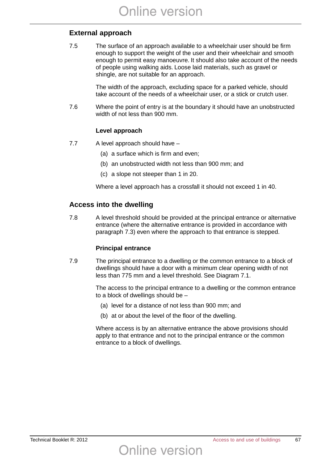### **External approach**

7.5 The surface of an approach available to a wheelchair user should be firm enough to support the weight of the user and their wheelchair and smooth enough to permit easy manoeuvre. It should also take account of the needs of people using walking aids. Loose laid materials, such as gravel or shingle, are not suitable for an approach.

> The width of the approach, excluding space for a parked vehicle, should take account of the needs of a wheelchair user, or a stick or crutch user.

7.6 Where the point of entry is at the boundary it should have an unobstructed width of not less than 900 mm.

### **Level approach**

- 7.7 A level approach should have
	- (a) a surface which is firm and even;
	- (b) an unobstructed width not less than 900 mm; and
	- (c) a slope not steeper than 1 in 20.

Where a level approach has a crossfall it should not exceed 1 in 40.

### **Access into the dwelling**

7.8 A level threshold should be provided at the principal entrance or alternative entrance (where the alternative entrance is provided in accordance with paragraph 7.3) even where the approach to that entrance is stepped.

### **Principal entrance**

7.9 The principal entrance to a dwelling or the common entrance to a block of dwellings should have a door with a minimum clear opening width of not less than 775 mm and a level threshold. See Diagram 7.1.

> The access to the principal entrance to a dwelling or the common entrance to a block of dwellings should be –

- (a) level for a distance of not less than 900 mm; and
- (b) at or about the level of the floor of the dwelling.

**Online version** 

Where access is by an alternative entrance the above provisions should apply to that entrance and not to the principal entrance or the common entrance to a block of dwellings.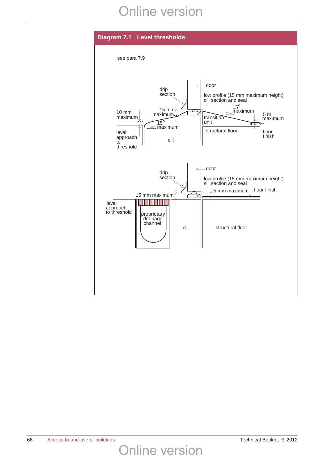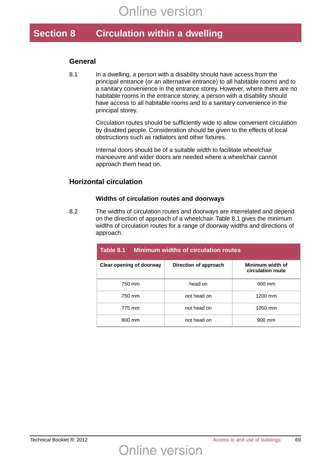### **Section 8 Circulation within a dwelling**

### **General**

8.1 In a dwelling, a person with a disability should have access from the principal entrance (or an alternative entrance) to all habitable rooms and to a sanitary convenience in the entrance storey. However, where there are no habitable rooms in the entrance storey, a person with a disability should have access to all habitable rooms and to a sanitary convenience in the principal storey.

> Circulation routes should be sufficiently wide to allow convenient circulation by disabled people. Consideration should be given to the effects of local obstructions such as radiators and other fixtures.

Internal doors should be of a suitable width to facilitate wheelchair manoeuvre and wider doors are needed where a wheelchair cannot approach them head on.

### **Horizontal circulation**

#### **Widths of circulation routes and doorways**

8.2 The widths of circulation routes and doorways are interrelated and depend on the direction of approach of a wheelchair. Table 8.1 gives the minimum widths of circulation routes for a range of doorway widths and directions of approach.

| Table 8.1<br><b>Minimum widths of circulation routes</b> |                       |                                       |  |
|----------------------------------------------------------|-----------------------|---------------------------------------|--|
| Clear opening of doorway                                 | Direction of approach | Minimum width of<br>circulation route |  |
| 750 mm                                                   | head on               | 900 mm                                |  |
| 750 mm                                                   | not head on           | 1200 mm                               |  |
| 775 mm                                                   | not head on           | 1050 mm                               |  |
| 800 mm                                                   | not head on           | 900 mm                                |  |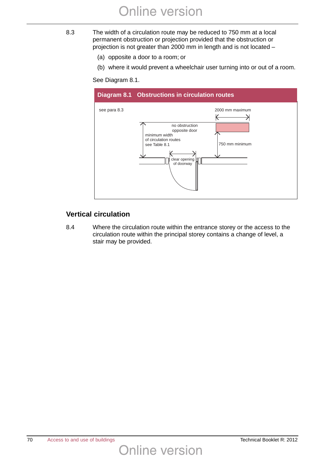- 8.3 The width of a circulation route may be reduced to 750 mm at a local permanent obstruction or projection provided that the obstruction or projection is not greater than 2000 mm in length and is not located –
	- (a) opposite a door to a room; or
	- (b) where it would prevent a wheelchair user turning into or out of a room.

See Diagram 8.1.



### **Vertical circulation**

8.4 Where the circulation route within the entrance storey or the access to the circulation route within the principal storey contains a change of level, a stair may be provided.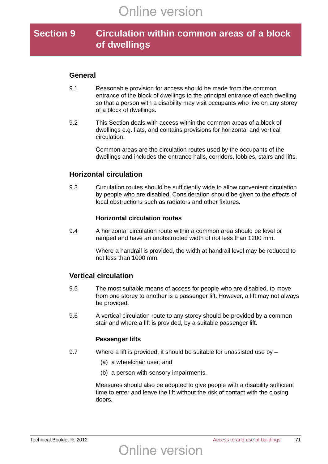### **Section 9 Circulation within common areas of a block of dwellings**

### **General**

- 9.1 Reasonable provision for access should be made from the common entrance of the block of dwellings to the principal entrance of each dwelling so that a person with a disability may visit occupants who live on any storey of a block of dwellings.
- 9.2 This Section deals with access within the common areas of a block of dwellings e.g. flats, and contains provisions for horizontal and vertical circulation.

Common areas are the circulation routes used by the occupants of the dwellings and includes the entrance halls, corridors, lobbies, stairs and lifts.

### **Horizontal circulation**

9.3 Circulation routes should be sufficiently wide to allow convenient circulation by people who are disabled. Consideration should be given to the effects of local obstructions such as radiators and other fixtures.

#### **Horizontal circulation routes**

9.4 A horizontal circulation route within a common area should be level or ramped and have an unobstructed width of not less than 1200 mm.

> Where a handrail is provided, the width at handrail level may be reduced to not less than 1000 mm.

### **Vertical circulation**

- 9.5 The most suitable means of access for people who are disabled, to move from one storey to another is a passenger lift. However, a lift may not always be provided.
- 9.6 A vertical circulation route to any storey should be provided by a common stair and where a lift is provided, by a suitable passenger lift.

#### **Passenger lifts**

- 9.7 Where a lift is provided, it should be suitable for unassisted use by
	- (a) a wheelchair user; and
	- (b) a person with sensory impairments.

Measures should also be adopted to give people with a disability sufficient time to enter and leave the lift without the risk of contact with the closing doors.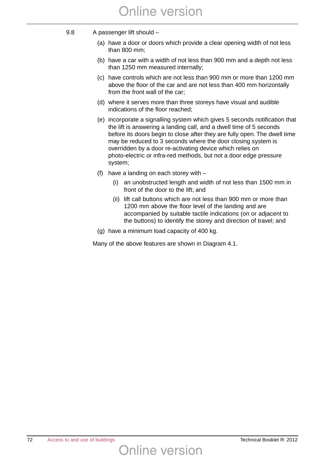- 9.8 A passenger lift should
	- (a) have a door or doors which provide a clear opening width of not less than 800 mm;
	- (b) have a car with a width of not less than 900 mm and a depth not less than 1250 mm measured internally;
	- (c) have controls which are not less than 900 mm or more than 1200 mm above the floor of the car and are not less than 400 mm horizontally from the front wall of the car;
	- (d) where it serves more than three storeys have visual and audible indications of the floor reached;
	- (e) incorporate a signalling system which gives 5 seconds notification that the lift is answering a landing call, and a dwell time of 5 seconds before its doors begin to close after they are fully open. The dwell time may be reduced to 3 seconds where the door closing system is overridden by a door re-activating device which relies on photo-electric or infra-red methods, but not a door edge pressure system;
	- (f) have a landing on each storey with
		- (i) an unobstructed length and width of not less than 1500 mm in front of the door to the lift; and
		- (ii) lift call buttons which are not less than 900 mm or more than 1200 mm above the floor level of the landing and are accompanied by suitable tactile indications (on or adjacent to the buttons) to identify the storey and direction of travel; and
	- (g) have a minimum load capacity of 400 kg.

Many of the above features are shown in Diagram 4.1.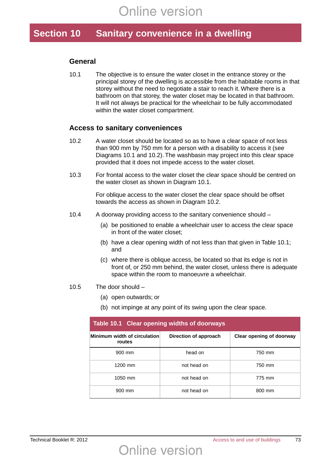## **Section 10 Sanitary convenience in a dwelling**

#### **General**

10.1 The objective is to ensure the water closet in the entrance storey or the principal storey of the dwelling is accessible from the habitable rooms in that storey without the need to negotiate a stair to reach it. Where there is a bathroom on that storey, the water closet may be located in that bathroom. It will not always be practical for the wheelchair to be fully accommodated within the water closet compartment.

#### **Access to sanitary conveniences**

- 10.2 A water closet should be located so as to have a clear space of not less than 900 mm by 750 mm for a person with a disability to access it (see Diagrams 10.1 and 10.2). The washbasin may project into this clear space provided that it does not impede access to the water closet.
- 10.3 For frontal access to the water closet the clear space should be centred on the water closet as shown in Diagram 10.1.

For oblique access to the water closet the clear space should be offset towards the access as shown in Diagram 10.2.

- 10.4 A doorway providing access to the sanitary convenience should
	- (a) be positioned to enable a wheelchair user to access the clear space in front of the water closet;
	- (b) have a clear opening width of not less than that given in Table 10.1; and
	- (c) where there is oblique access, be located so that its edge is not in front of, or 250 mm behind, the water closet, unless there is adequate space within the room to manoeuvre a wheelchair.
- 10.5 The door should
	- (a) open outwards; or
	- (b) not impinge at any point of its swing upon the clear space.

Online version

| Table 10.1 Clear opening widths of doorways |                       |                          |  |
|---------------------------------------------|-----------------------|--------------------------|--|
| Minimum width of circulation<br>routes      | Direction of approach | Clear opening of doorway |  |
| 900 mm                                      | head on               | 750 mm                   |  |
| 1200 mm                                     | not head on           | 750 mm                   |  |
| 1050 mm                                     | not head on           | 775 mm                   |  |
| 900 mm                                      | not head on           | 800 mm                   |  |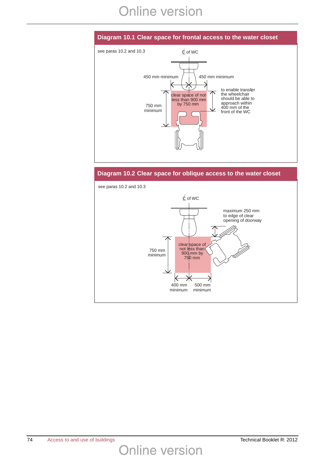# **Online version**

### **Diagram 10.1 Clear space for frontal access to the water closet**



#### **Diagram 10.2 Clear space for oblique access to the water closet**

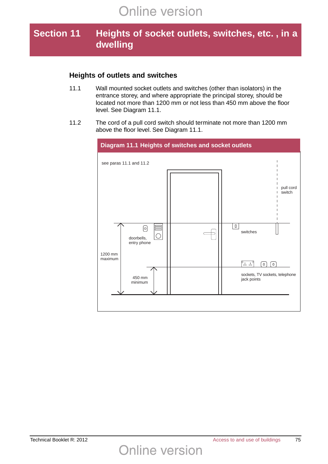## **Section 11 Heights of socket outlets, switches, etc. , in a dwelling**

### **Heights of outlets and switches**

- 11.1 Wall mounted socket outlets and switches (other than isolators) in the entrance storey, and where appropriate the principal storey, should be located not more than 1200 mm or not less than 450 mm above the floor level. See Diagram 11.1.
- 11.2 The cord of a pull cord switch should terminate not more than 1200 mm above the floor level. See Diagram 11.1.



**Online version**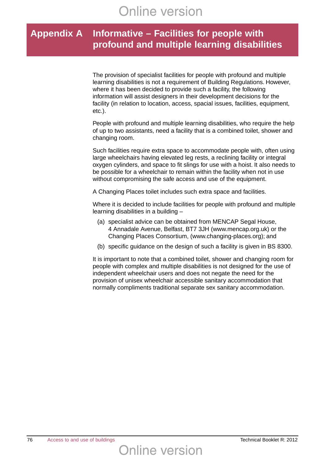## **Appendix A Informative – Facilities for people with profound and multiple learning disabilities**

The provision of specialist facilities for people with profound and multiple learning disabilities is not a requirement of Building Regulations. However, where it has been decided to provide such a facility, the following information will assist designers in their development decisions for the facility (in relation to location, access, spacial issues, facilities, equipment, etc.).

People with profound and multiple learning disabilities, who require the help of up to two assistants, need a facility that is a combined toilet, shower and changing room.

Such facilities require extra space to accommodate people with, often using large wheelchairs having elevated leg rests, a reclining facility or integral oxygen cylinders, and space to fit slings for use with a hoist. It also needs to be possible for a wheelchair to remain within the facility when not in use without compromising the safe access and use of the equipment.

A Changing Places toilet includes such extra space and facilities.

Where it is decided to include facilities for people with profound and multiple learning disabilities in a building –

- (a) specialist advice can be obtained from MENCAP Segal House, 4 Annadale Avenue, Belfast, BT7 3JH (www.mencap.org.uk) or the Changing Places Consortium, (www.changing-places.org); and
- (b) specific guidance on the design of such a facility is given in BS 8300.

It is important to note that a combined toilet, shower and changing room for people with complex and multiple disabilities is not designed for the use of independent wheelchair users and does not negate the need for the provision of unisex wheelchair accessible sanitary accommodation that normally compliments traditional separate sex sanitary accommodation.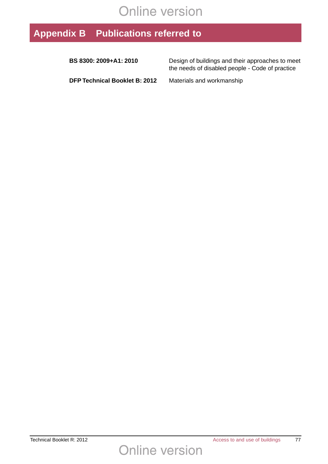# **Online version**

# **Appendix B Publications referred to**

| BS 8300: 2009+A1: 2010               | Design of buildings and their approaches to meet<br>the needs of disabled people - Code of practice |
|--------------------------------------|-----------------------------------------------------------------------------------------------------|
| <b>DFP Technical Booklet B: 2012</b> | Materials and workmanship                                                                           |